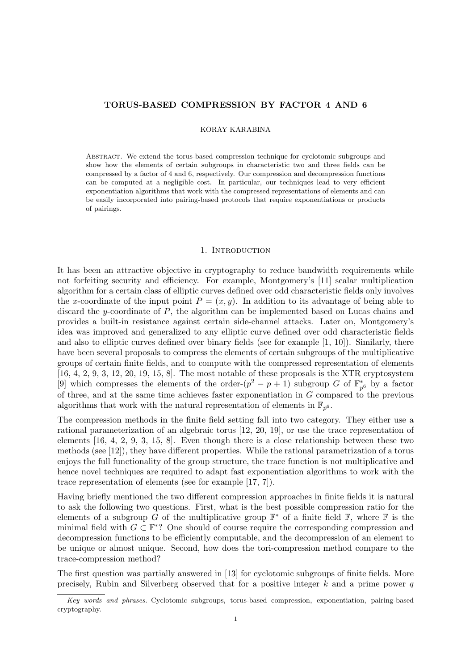# TORUS-BASED COMPRESSION BY FACTOR 4 AND 6

## KORAY KARABINA

Abstract. We extend the torus-based compression technique for cyclotomic subgroups and show how the elements of certain subgroups in characteristic two and three fields can be compressed by a factor of 4 and 6, respectively. Our compression and decompression functions can be computed at a negligible cost. In particular, our techniques lead to very efficient exponentiation algorithms that work with the compressed representations of elements and can be easily incorporated into pairing-based protocols that require exponentiations or products of pairings.

# 1. INTRODUCTION

It has been an attractive objective in cryptography to reduce bandwidth requirements while not forfeiting security and efficiency. For example, Montgomery's [11] scalar multiplication algorithm for a certain class of elliptic curves defined over odd characteristic fields only involves the x-coordinate of the input point  $P = (x, y)$ . In addition to its advantage of being able to discard the y-coordinate of  $P$ , the algorithm can be implemented based on Lucas chains and provides a built-in resistance against certain side-channel attacks. Later on, Montgomery's idea was improved and generalized to any elliptic curve defined over odd characteristic fields and also to elliptic curves defined over binary fields (see for example [1, 10]). Similarly, there have been several proposals to compress the elements of certain subgroups of the multiplicative groups of certain finite fields, and to compute with the compressed representation of elements  $[16, 4, 2, 9, 3, 12, 20, 19, 15, 8]$ . The most notable of these proposals is the XTR cryptosystem [9] which compresses the elements of the order- $(p^2 - p + 1)$  subgroup G of  $\mathbb{F}_{p^6}^*$  by a factor of three, and at the same time achieves faster exponentiation in  $G$  compared to the previous algorithms that work with the natural representation of elements in  $\mathbb{F}_{p^6}$ .

The compression methods in the finite field setting fall into two category. They either use a rational parameterization of an algebraic torus [12, 20, 19], or use the trace representation of elements [16, 4, 2, 9, 3, 15, 8]. Even though there is a close relationship between these two methods (see [12]), they have different properties. While the rational parametrization of a torus enjoys the full functionality of the group structure, the trace function is not multiplicative and hence novel techniques are required to adapt fast exponentiation algorithms to work with the trace representation of elements (see for example [17, 7]).

Having briefly mentioned the two different compression approaches in finite fields it is natural to ask the following two questions. First, what is the best possible compression ratio for the elements of a subgroup G of the multiplicative group  $\mathbb{F}^*$  of a finite field  $\mathbb{F}$ , where  $\mathbb{F}$  is the minimal field with  $G \subset \mathbb{F}^*$ ? One should of course require the corresponding compression and decompression functions to be efficiently computable, and the decompression of an element to be unique or almost unique. Second, how does the tori-compression method compare to the trace-compression method?

The first question was partially answered in [13] for cyclotomic subgroups of finite fields. More precisely, Rubin and Silverberg observed that for a positive integer  $k$  and a prime power  $q$ 

Key words and phrases. Cyclotomic subgroups, torus-based compression, exponentiation, pairing-based cryptography.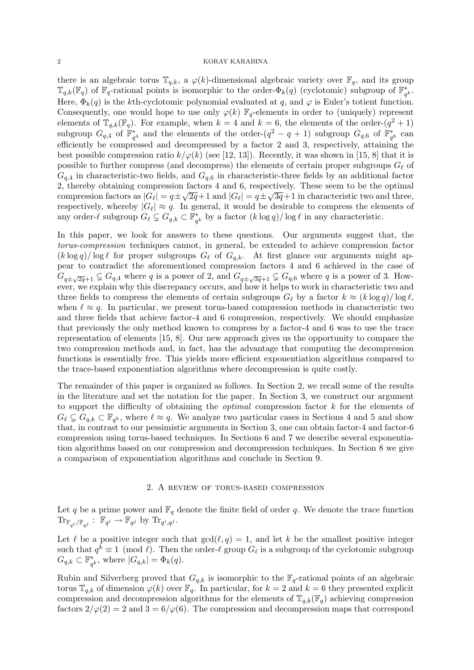there is an algebraic torus  $\mathbb{T}_{q,k}$ , a  $\varphi(k)$ -dimensional algebraic variety over  $\mathbb{F}_q$ , and its group  $\mathbb{T}_{q,k}(\mathbb{F}_q)$  of  $\mathbb{F}_q$ -rational points is isomorphic to the order- $\Phi_k(q)$  (cyclotomic) subgroup of  $\mathbb{F}_q^*$  $_q^*$  . Here,  $\Phi_k(q)$  is the kth-cyclotomic polynomial evaluated at q, and  $\varphi$  is Euler's totient function. Consequently, one would hope to use only  $\varphi(k)$   $\mathbb{F}_q$ -elements in order to (uniquely) represent elements of  $\mathbb{T}_{q,k}(\mathbb{F}_q)$ . For example, when  $k=4$  and  $k=6$ , the elements of the order- $(q^2+1)$ subgroup  $G_{q,4}$  of  $\mathbb{F}_{q^4}^*$  and the elements of the order- $(q^2-q+1)$  subgroup  $G_{q,6}$  of  $\mathbb{F}_{q^6}^*$  can efficiently be compressed and decompressed by a factor 2 and 3, respectively, attaining the best possible compression ratio  $k/\varphi(k)$  (see [12, 13]). Recently, it was shown in [15, 8] that it is possible to further compress (and decompress) the elements of certain proper subgroups  $G_\ell$  of  $G_{a,4}$  in characteristic-two fields, and  $G_{a,6}$  in characteristic-three fields by an additional factor 2, thereby obtaining compression factors 4 and 6, respectively. These seem to be the optimal compression factors as  $|G_\ell| = q \pm \sqrt{2q}+1$  and  $|G_\ell| = q \pm \sqrt{3q}+1$  in characteristic two and three, respectively, whereby  $|G_{\ell}| \approx q$ . In general, it would be desirable to compress the elements of any order- $\ell$  subgroup  $G_{\ell} \subsetneq G_{q,k} \subset \mathbb{F}^*_q$  $_{q^k}^*$  by a factor  $(k \log q) / \log \ell$  in any characteristic.

In this paper, we look for answers to these questions. Our arguments suggest that, the torus-compression techniques cannot, in general, be extended to achieve compression factor  $(k \log q)/\log \ell$  for proper subgroups  $G_{\ell}$  of  $G_{q,k}$ . At first glance our arguments might appear to contradict the aforementioned compression factors 4 and 6 achieved in the case of  $G_{q\pm\sqrt{2q}+1}\subsetneq G_{q,4}$  where q is a power of 2, and  $G_{q\pm\sqrt{3q}+1}\subsetneq G_{q,6}$  where q is a power of 3. However, we explain why this discrepancy occurs, and how it helps to work in characteristic two and three fields to compress the elements of certain subgroups  $G_\ell$  by a factor  $k \approx (k \log q)/\log \ell$ , when  $\ell \approx q$ . In particular, we present torus-based compression methods in characteristic two and three fields that achieve factor-4 and 6 compression, respectively. We should emphasize that previously the only method known to compress by a factor-4 and 6 was to use the trace representation of elements [15, 8]. Our new approach gives us the opportunity to compare the two compression methods and, in fact, has the advantage that computing the decompression functions is essentially free. This yields more efficient exponentiation algorithms compared to the trace-based exponentiation algorithms where decompression is quite costly.

The remainder of this paper is organized as follows. In Section 2, we recall some of the results in the literature and set the notation for the paper. In Section 3, we construct our argument to support the difficulty of obtaining the *optimal* compression factor  $k$  for the elements of  $G_\ell \subsetneq G_{q,k} \subset \mathbb{F}_{q^k}$ , where  $\ell \approx q$ . We analyze two particular cases in Sections 4 and 5 and show that, in contrast to our pessimistic arguments in Section 3, one can obtain factor-4 and factor-6 compression using torus-based techniques. In Sections 6 and 7 we describe several exponentiation algorithms based on our compression and decompression techniques. In Section 8 we give a comparison of exponentiation algorithms and conclude in Section 9.

## 2. A review of torus-based compression

Let q be a prime power and  $\mathbb{F}_q$  denote the finite field of order q. We denote the trace function  $\text{Tr}_{\mathbb{F}_{q^i}/\mathbb{F}_{q^j}}: \mathbb{F}_{q^i} \to \mathbb{F}_{q^j}$  by  $\text{Tr}_{q^i,q^j}$ .

Let  $\ell$  be a positive integer such that  $gcd(\ell, q) = 1$ , and let k be the smallest positive integer such that  $q^k \equiv 1 \pmod{\ell}$ . Then the order- $\ell$  group  $G_{\ell}$  is a subgroup of the cyclotomic subgroup  $G_{q,k} \subset \mathbb{F}_q^*$  $_{q^k}^*$ , where  $|G_{q,k}| = \Phi_k(q)$ .

Rubin and Silverberg proved that  $G_{q,k}$  is isomorphic to the  $\mathbb{F}_q$ -rational points of an algebraic torus  $\mathbb{T}_{q,k}$  of dimension  $\varphi(k)$  over  $\mathbb{F}_q$ . In particular, for  $k=2$  and  $k=6$  they presented explicit compression and decompression algorithms for the elements of  $\mathbb{T}_{q,k}(\mathbb{F}_q)$  achieving compression factors  $2/\varphi(2) = 2$  and  $3 = 6/\varphi(6)$ . The compression and decompression maps that correspond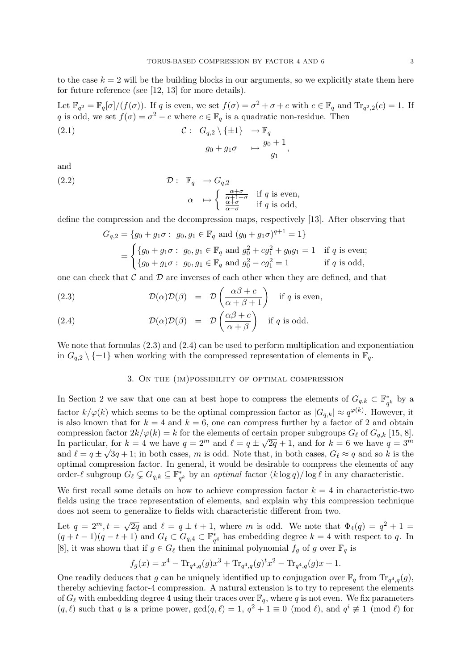to the case  $k = 2$  will be the building blocks in our arguments, so we explicitly state them here for future reference (see [12, 13] for more details).

Let  $\mathbb{F}_{q^2} = \mathbb{F}_q[\sigma]/(f(\sigma))$ . If q is even, we set  $f(\sigma) = \sigma^2 + \sigma + c$  with  $c \in \mathbb{F}_q$  and  $\text{Tr}_{q^2,2}(c) = 1$ . If q is odd, we set  $f(\sigma) = \sigma^2 - c$  where  $c \in \mathbb{F}_q$  is a quadratic non-residue. Then

(2.1) 
$$
\mathcal{C}: G_{q,2} \setminus \{\pm 1\} \to \mathbb{F}_q
$$

$$
g_0 + g_1 \sigma \mapsto \frac{g_0 + 1}{g_1},
$$

and

(2.2) 
$$
\mathcal{D}: \mathbb{F}_q \to G_{q,2} \qquad \qquad \left(\begin{array}{c} \frac{\alpha+\epsilon}{\alpha+1} \end{array}\right)
$$

$$
\alpha \mapsto \begin{cases} \frac{\alpha+\sigma}{\alpha+1+\sigma} & \text{if } q \text{ is even,} \\ \frac{\alpha+\sigma}{\alpha-\sigma} & \text{if } q \text{ is odd,} \end{cases}
$$

define the compression and the decompression maps, respectively [13]. After observing that

$$
G_{q,2} = \{g_0 + g_1 \sigma : g_0, g_1 \in \mathbb{F}_q \text{ and } (g_0 + g_1 \sigma)^{q+1} = 1\}
$$
  
= 
$$
\begin{cases} \{g_0 + g_1 \sigma : g_0, g_1 \in \mathbb{F}_q \text{ and } g_0^2 + cg_1^2 + g_0 g_1 = 1 & \text{if } q \text{ is even;}\\ \{g_0 + g_1 \sigma : g_0, g_1 \in \mathbb{F}_q \text{ and } g_0^2 - cg_1^2 = 1 & \text{if } q \text{ is odd,} \end{cases}
$$

one can check that  $\mathcal C$  and  $\mathcal D$  are inverses of each other when they are defined, and that

(2.3) 
$$
\mathcal{D}(\alpha)\mathcal{D}(\beta) = \mathcal{D}\left(\frac{\alpha\beta + c}{\alpha + \beta + 1}\right) \text{ if } q \text{ is even,}
$$

(2.4) 
$$
\mathcal{D}(\alpha)\mathcal{D}(\beta) = \mathcal{D}\left(\frac{\alpha\beta + c}{\alpha + \beta}\right) \text{ if } q \text{ is odd.}
$$

We note that formulas  $(2.3)$  and  $(2.4)$  can be used to perform multiplication and exponentiation in  $G_{q,2} \setminus \{\pm 1\}$  when working with the compressed representation of elements in  $\mathbb{F}_q$ .

# 3. On the (im)possibility of optimal compression

In Section 2 we saw that one can at best hope to compress the elements of  $G_{q,k} \subset \mathbb{F}_q^*$  $q^k$  by a factor  $k/\varphi(k)$  which seems to be the optimal compression factor as  $|G_{q,k}| \approx q^{\varphi(k)}$ . However, it is also known that for  $k = 4$  and  $k = 6$ , one can compress further by a factor of 2 and obtain compression factor  $2k/\varphi(k) = k$  for the elements of certain proper subgroups  $G_\ell$  of  $G_{q,k}$  [15, 8]. In particular, for  $k = 4$  we have  $q = 2^m$  and  $\ell = q \pm \sqrt{2q} + 1$ , and for  $k = 6$  we have  $q = 3^m$ and  $\ell = q \pm \sqrt{3q} + 1$ ; in both cases, m is odd. Note that, in both cases,  $G_{\ell} \approx q$  and so k is the optimal compression factor. In general, it would be desirable to compress the elements of any order- $\ell$  subgroup  $G_{\ell} \subsetneq G_{q,k} \subseteq \mathbb{F}_q^*$  $_{q^k}^*$  by an *optimal* factor  $(k \log q)/\log \ell$  in any characteristic.

We first recall some details on how to achieve compression factor  $k = 4$  in characteristic-two fields using the trace representation of elements, and explain why this compression technique does not seem to generalize to fields with characteristic different from two.

Let  $q = 2^m, t = \sqrt{2q}$  and  $\ell = q \pm t + 1$ , where m is odd. We note that  $\Phi_4(q) = q^2 + 1 =$  $(q+t-1)(q-t+1)$  and  $G_{\ell} \subset G_{q,4} \subset \mathbb{F}_{q^4}^*$  has embedding degree  $k=4$  with respect to q. In [8], it was shown that if  $g \in G_\ell$  then the minimal polynomial  $f_g$  of g over  $\mathbb{F}_q$  is

$$
f_g(x) = x^4 - \text{Tr}_{q^4,q}(g)x^3 + \text{Tr}_{q^4,q}(g)^t x^2 - \text{Tr}_{q^4,q}(g)x + 1.
$$

One readily deduces that g can be uniquely identified up to conjugation over  $\mathbb{F}_q$  from  $\text{Tr}_{q^4,q}(g)$ , thereby achieving factor-4 compression. A natural extension is to try to represent the elements of  $G_\ell$  with embedding degree 4 using their traces over  $\mathbb{F}_q$ , where q is not even. We fix parameters  $(q, \ell)$  such that q is a prime power,  $gcd(q, \ell) = 1, q^2 + 1 \equiv 0 \pmod{\ell}$ , and  $q^i \not\equiv 1 \pmod{\ell}$  for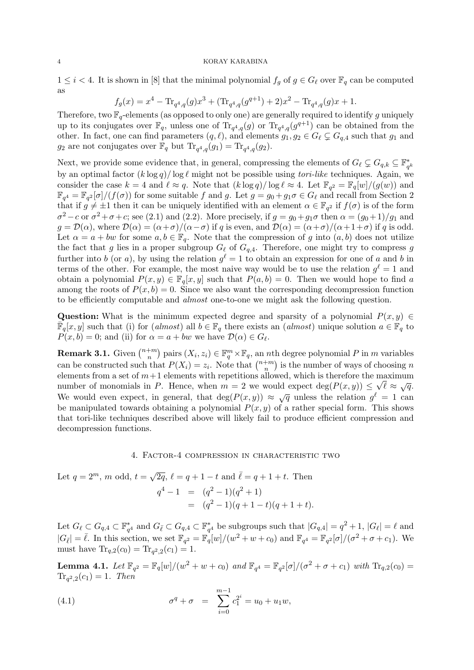$1 \leq i < 4$ . It is shown in [8] that the minimal polynomial  $f_g$  of  $g \in G_\ell$  over  $\mathbb{F}_q$  can be computed as

$$
f_g(x) = x^4 - \text{Tr}_{q^4,q}(g)x^3 + (\text{Tr}_{q^4,q}(g^{q+1}) + 2)x^2 - \text{Tr}_{q^4,q}(g)x + 1.
$$

Therefore, two  $\mathbb{F}_q$ -elements (as opposed to only one) are generally required to identify g uniquely up to its conjugates over  $\mathbb{F}_q$ , unless one of  $\text{Tr}_{q^4,q}(g)$  or  $\text{Tr}_{q^4,q}(g^{q+1})$  can be obtained from the other. In fact, one can find parameters  $(q, \ell)$ , and elements  $g_1, g_2 \in G_{\ell} \subsetneq G_{q,4}$  such that  $g_1$  and  $g_2$  are not conjugates over  $\mathbb{F}_q$  but  $\text{Tr}_{q^4,q}(g_1) = \text{Tr}_{q^4,q}(g_2)$ .

Next, we provide some evidence that, in general, compressing the elements of  $G_\ell \subsetneq G_{q,k} \subseteq \mathbb{F}_q^*$  $q^k$ by an optimal factor  $(k \log q)/\log \ell$  might not be possible using *tori-like* techniques. Again, we consider the case  $k = 4$  and  $\ell \approx q$ . Note that  $(k \log q)/\log \ell \approx 4$ . Let  $\mathbb{F}_{q^2} = \mathbb{F}_q[w]/(g(w))$  and  $\mathbb{F}_{q^4} = \mathbb{F}_{q^2}[\sigma]/(f(\sigma))$  for some suitable f and g. Let  $g = g_0 + g_1 \sigma \in G_{\ell}$  and recall from Section 2 that if  $g \neq \pm 1$  then it can be uniquely identified with an element  $\alpha \in \mathbb{F}_{q^2}$  if  $f(\sigma)$  is of the form  $\sigma^2 - c$  or  $\sigma^2 + \sigma + c$ ; see (2.1) and (2.2). More precisely, if  $g = g_0 + g_1 \sigma$  then  $\alpha = (g_0 + 1)/g_1$  and  $g = \mathcal{D}(\alpha)$ , where  $\mathcal{D}(\alpha) = (\alpha + \sigma)/(\alpha - \sigma)$  if q is even, and  $\mathcal{D}(\alpha) = (\alpha + \sigma)/(\alpha + 1 + \sigma)$  if q is odd. Let  $\alpha = a + bw$  for some  $a, b \in \mathbb{F}_q$ . Note that the compression of g into  $(a, b)$  does not utilize the fact that g lies in a proper subgroup  $G_\ell$  of  $G_{q,4}$ . Therefore, one might try to compress g further into b (or a), by using the relation  $g^{\ell} = 1$  to obtain an expression for one of a and b in terms of the other. For example, the most naive way would be to use the relation  $g^{\ell} = 1$  and obtain a polynomial  $P(x, y) \in \mathbb{F}_q[x, y]$  such that  $P(a, b) = 0$ . Then we would hope to find a among the roots of  $P(x, b) = 0$ . Since we also want the corresponding decompression function to be efficiently computable and almost one-to-one we might ask the following question.

Question: What is the minimum expected degree and sparsity of a polynomial  $P(x, y) \in$  $\overline{\mathbb{F}}_q[x, y]$  such that (i) for (almost) all  $b \in \mathbb{F}_q$  there exists an (almost) unique solution  $a \in \mathbb{F}_q$  to  $P(x, b) = 0$ ; and (ii) for  $\alpha = a + bw$  we have  $\mathcal{D}(\alpha) \in G_{\ell}$ .

**Remark 3.1.** Given  $\binom{n+m}{n}$  $\binom{m}{n}$  pairs  $(X_i, z_i) \in \mathbb{F}_q^m \times \mathbb{F}_q$ , an *n*th degree polynomial P in *m* variables can be constructed such that  $P(X_i) = z_i$ . Note that  $\binom{n+m}{n}$  $\binom{+m}{n}$  is the number of ways of choosing n elements from a set of  $m+1$  elements with repetitions allowed, which is therefore the maximum number of monomials in P. Hence, when  $m = 2$  we would expect  $\deg(P(x, y)) \leq \sqrt{\ell} \approx \sqrt{q}$ . We would even expect, in general, that  $\deg(P(x, y)) \approx \sqrt{q}$  unless the relation  $g^{\ell} = 1$  can be manipulated towards obtaining a polynomial  $P(x, y)$  of a rather special form. This shows that tori-like techniques described above will likely fail to produce efficient compression and decompression functions.

4. Factor-4 compression in characteristic two

Let  $q = 2^m$ , m odd,  $t = \sqrt{2q}$ ,  $\ell = q + 1 - t$  and  $\overline{\ell} = q + 1 + t$ . Then

$$
q4 - 1 = (q2 - 1)(q2 + 1)
$$
  
= (q<sup>2</sup> - 1)(q + 1 - t)(q + 1 + t).

Let  $G_\ell \subset G_{q,4} \subset \mathbb{F}_{q^4}^*$  and  $G_{\bar{\ell}} \subset G_{q,4} \subset \mathbb{F}_{q^4}^*$  be subgroups such that  $|G_{q,4}| = q^2 + 1$ ,  $|G_\ell| = \ell$  and  $|G_{\bar{\ell}}| = \bar{\ell}$ . In this section, we set  $\mathbb{F}_{q^2} = \mathbb{F}_q[w]/(w^2 + w + c_0)$  and  $\mathbb{F}_{q^4} = \mathbb{F}_{q^2}[\sigma]/(\sigma^2 + \sigma + c_1)$ . We must have  $\text{Tr}_{q,2}(c_0) = \text{Tr}_{q^2,2}(c_1) = 1.$ 

**Lemma 4.1.** Let  $\mathbb{F}_{q^2} = \mathbb{F}_q[w]/(w^2 + w + c_0)$  and  $\mathbb{F}_{q^4} = \mathbb{F}_{q^2}[\sigma]/(\sigma^2 + \sigma + c_1)$  with  $\text{Tr}_{q,2}(c_0) =$  $\text{Tr}_{q^2,2}(c_1) = 1$ . Then

(4.1) 
$$
\sigma^q + \sigma = \sum_{i=0}^{m-1} c_1^{2^i} = u_0 + u_1 w,
$$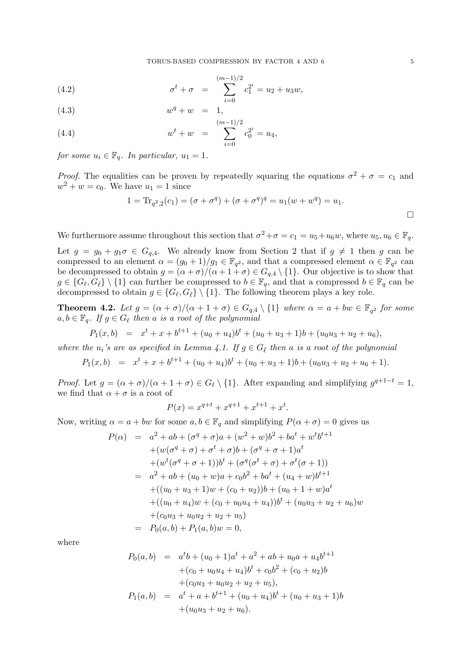(4.2) 
$$
\sigma^t + \sigma = \sum_{i=0}^{(m-1)/2} c_1^{2^i} = u_2 + u_3 w,
$$

(4.3) 
$$
w^q + w = 1,
$$

(4.4) 
$$
w^{t} + w = \sum_{i=0}^{(m-1)/2} c_0^{2^{i}} = u_4,
$$

for some  $u_i \in \mathbb{F}_q$ . In particular,  $u_1 = 1$ .

*Proof.* The equalities can be proven by repeatedly squaring the equations  $\sigma^2 + \sigma = c_1$  and  $w^2 + w = c_0$ . We have  $u_1 = 1$  since

$$
1 = \text{Tr}_{q^2,2}(c_1) = (\sigma + \sigma^q) + (\sigma + \sigma^q)^q = u_1(w + w^q) = u_1.
$$

We furthermore assume throughout this section that  $\sigma^2 + \sigma = c_1 = u_5 + u_6 w$ , where  $u_5, u_6 \in \mathbb{F}_q$ .

Let  $g = g_0 + g_1 \sigma \in G_{q,4}$ . We already know from Section 2 that if  $g \neq 1$  then g can be compressed to an element  $\alpha = (g_0 + 1)/g_1 \in \mathbb{F}_{q^2}$ , and that a compressed element  $\alpha \in \mathbb{F}_{q^2}$  can be decompressed to obtain  $g = (\alpha + \sigma)/(\alpha + 1 + \sigma) \in G_{q,4} \setminus \{1\}$ . Our objective is to show that  $g \in \{G_\ell, G_{\overline{\ell}}\} \setminus \{1\}$  can further be compressed to  $b \in \mathbb{F}_q$ , and that a compressed  $b \in \mathbb{F}_q$  can be decompressed to obtain  $g \in \{G_{\ell}, G_{\bar{\ell}}\} \setminus \{1\}$ . The following theorem plays a key role.

**Theorem 4.2.** Let  $g = (\alpha + \sigma)/(\alpha + 1 + \sigma) \in G_{q,4} \setminus \{1\}$  where  $\alpha = a + bw \in \mathbb{F}_{q^2}$  for some  $a, b \in \mathbb{F}_q$ . If  $g \in G_\ell$  then a is a root of the polynomial

$$
P_1(x,b) = x^t + x + b^{t+1} + (u_0 + u_4)b^t + (u_0 + u_3 + 1)b + (u_0u_3 + u_2 + u_6),
$$

where the  $u_i$ 's are as specified in Lemma 4.1. If  $g \in G_{\bar{\ell}}$  then a is a root of the polynomial

 $P_1(x,b) = x^t + x + b^{t+1} + (u_0 + u_4)b^t + (u_0 + u_3 + 1)b + (u_0u_3 + u_2 + u_6 + 1).$ 

*Proof.* Let  $g = (\alpha + \sigma)/(\alpha + 1 + \sigma) \in G_\ell \setminus \{1\}$ . After expanding and simplifying  $g^{q+1-t} = 1$ , we find that  $\alpha + \sigma$  is a root of

$$
P(x) = x^{q+t} + x^{q+1} + x^{t+1} + x^t.
$$

Now, writing  $\alpha = a + bw$  for some  $a, b \in \mathbb{F}_q$  and simplifying  $P(\alpha + \sigma) = 0$  gives us

$$
P(\alpha) = a^{2} + ab + (\sigma^{q} + \sigma)a + (w^{2} + w)b^{2} + ba^{t} + w^{t}b^{t+1}
$$
  
+
$$
+ (w(\sigma^{q} + \sigma) + \sigma^{t} + \sigma)b + (\sigma^{q} + \sigma + 1)a^{t}
$$
  
+
$$
+ (w^{t}(\sigma^{q} + \sigma + 1))b^{t} + (\sigma^{q}(\sigma^{t} + \sigma) + \sigma^{t}(\sigma + 1))
$$
  
= 
$$
a^{2} + ab + (u_{0} + w)a + c_{0}b^{2} + ba^{t} + (u_{4} + w)b^{t+1}
$$
  
+
$$
+ ((u_{0} + u_{3} + 1)w + (c_{0} + u_{2}))b + (u_{0} + 1 + w)a^{t}
$$
  
+
$$
+ ((u_{0} + u_{4})w + (c_{0} + u_{0}u_{4} + u_{4}))b^{t} + (u_{0}u_{3} + u_{2} + u_{6})w
$$
  
+
$$
+ (c_{0}u_{3} + u_{0}u_{2} + u_{2} + u_{5})
$$
  
= 
$$
P_{0}(a, b) + P_{1}(a, b)w = 0,
$$

where

$$
P_0(a, b) = a^t b + (u_0 + 1)a^t + a^2 + ab + u_0a + u_4b^{t+1}
$$
  
+
$$
(c_0 + u_0u_4 + u_4)b^t + c_0b^2 + (c_0 + u_2)b
$$
  
+
$$
(c_0u_3 + u_0u_2 + u_2 + u_5),
$$
  

$$
P_1(a, b) = a^t + a + b^{t+1} + (u_0 + u_4)b^t + (u_0 + u_3 + 1)b
$$
  
+
$$
(u_0u_3 + u_2 + u_6).
$$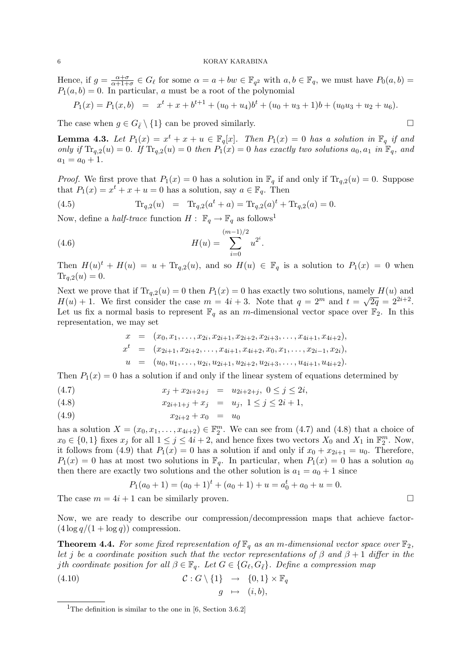Hence, if  $g = \frac{\alpha + \sigma}{\alpha + 1 + \sigma}$  $\frac{\alpha+\sigma}{\alpha+1+\sigma} \in G_\ell$  for some  $\alpha = a + bw \in \mathbb{F}_{q^2}$  with  $a, b \in \mathbb{F}_q$ , we must have  $P_0(a, b) =$  $P_1(a, b) = 0$ . In particular, a must be a root of the polynomial

$$
P_1(x) = P_1(x, b) = x^t + x + b^{t+1} + (u_0 + u_4)b^t + (u_0 + u_3 + 1)b + (u_0u_3 + u_2 + u_6).
$$

The case when  $g \in G_{\bar{\ell}} \setminus \{1\}$  can be proved similarly.

**Lemma 4.3.** Let  $P_1(x) = x^t + x + u \in \mathbb{F}_q[x]$ . Then  $P_1(x) = 0$  has a solution in  $\mathbb{F}_q$  if and only if  $\text{Tr}_{q,2}(u) = 0$ . If  $\text{Tr}_{q,2}(u) = 0$  then  $P_1(x) = 0$  has exactly two solutions  $a_0, a_1$  in  $\mathbb{F}_q$ , and  $a_1 = a_0 + 1.$ 

*Proof.* We first prove that  $P_1(x) = 0$  has a solution in  $\mathbb{F}_q$  if and only if  $\text{Tr}_{q,2}(u) = 0$ . Suppose that  $P_1(x) = x^t + x + u = 0$  has a solution, say  $a \in \mathbb{F}_q$ . Then

(4.5) 
$$
\text{Tr}_{q,2}(u) = \text{Tr}_{q,2}(a^t + a) = \text{Tr}_{q,2}(a)^t + \text{Tr}_{q,2}(a) = 0.
$$

Now, define a *half-trace* function  $H: \mathbb{F}_q \to \mathbb{F}_q$  as follows<sup>1</sup>

(4.6) 
$$
H(u) = \sum_{i=0}^{(m-1)/2} u^{2^i}.
$$

Then  $H(u)^t + H(u) = u + Tr_{q,2}(u)$ , and so  $H(u) \in \mathbb{F}_q$  is a solution to  $P_1(x) = 0$  when  $Tr_{a,2}(u) = 0.$ 

Next we prove that if  $\text{Tr}_{q,2}(u) = 0$  then  $P_1(x) = 0$  has exactly two solutions, namely  $H(u)$  and  $H(u) + 1$ . We first consider the case  $m = 4i + 3$ . Note that  $q = 2^m$  and  $t = \sqrt{2q} = 2^{2i+2}$ . Let us fix a normal basis to represent  $\mathbb{F}_q$  as an m-dimensional vector space over  $\mathbb{F}_2$ . In this representation, we may set

$$
x = (x_0, x_1, \ldots, x_{2i}, x_{2i+1}, x_{2i+2}, x_{2i+3}, \ldots, x_{4i+1}, x_{4i+2}),
$$
  
\n
$$
x^t = (x_{2i+1}, x_{2i+2}, \ldots, x_{4i+1}, x_{4i+2}, x_0, x_1, \ldots, x_{2i-1}, x_{2i}),
$$
  
\n
$$
u = (u_0, u_1, \ldots, u_{2i}, u_{2i+1}, u_{2i+2}, u_{2i+3}, \ldots, u_{4i+1}, u_{4i+2}).
$$

Then  $P_1(x) = 0$  has a solution if and only if the linear system of equations determined by

$$
(4.7) \t\t x_j + x_{2i+2+j} = u_{2i+2+j}, \ 0 \le j \le 2i,
$$

(4.8) 
$$
x_{2i+1+j} + x_j = u_j, \ 1 \le j \le 2i+1,
$$

$$
(4.9) \t\t\t x_{2i+2} + x_0 = u_0
$$

has a solution  $X = (x_0, x_1, \ldots, x_{4i+2}) \in \mathbb{F}_2^m$ . We can see from  $(4.7)$  and  $(4.8)$  that a choice of  $x_0 \in \{0,1\}$  fixes  $x_j$  for all  $1 \leq j \leq 4i+2$ , and hence fixes two vectors  $X_0$  and  $X_1$  in  $\mathbb{F}_2^m$ . Now, it follows from (4.9) that  $P_1(x) = 0$  has a solution if and only if  $x_0 + x_{2i+1} = u_0$ . Therefore,  $P_1(x) = 0$  has at most two solutions in  $\mathbb{F}_q$ . In particular, when  $P_1(x) = 0$  has a solution  $a_0$ then there are exactly two solutions and the other solution is  $a_1 = a_0 + 1$  since

$$
P_1(a_0 + 1) = (a_0 + 1)t + (a_0 + 1) + u = a_0t + a_0 + u = 0.
$$

The case  $m = 4i + 1$  can be similarly proven.

Now, we are ready to describe our compression/decompression maps that achieve factor-  $(4 \log q/(1 + \log q))$  compression.

**Theorem 4.4.** For some fixed representation of  $\mathbb{F}_q$  as an m-dimensional vector space over  $\mathbb{F}_2$ , let j be a coordinate position such that the vector representations of  $\beta$  and  $\beta + 1$  differ in the jth coordinate position for all  $\beta \in \mathbb{F}_q$ . Let  $G \in \{G_\ell, G_{\bar{\ell}}\}$ . Define a compression map

(4.10) 
$$
\mathcal{C}: G \setminus \{1\} \rightarrow \{0,1\} \times \mathbb{F}_q
$$

$$
g \mapsto (i, b),
$$

<sup>&</sup>lt;sup>1</sup>The definition is similar to the one in [6, Section 3.6.2]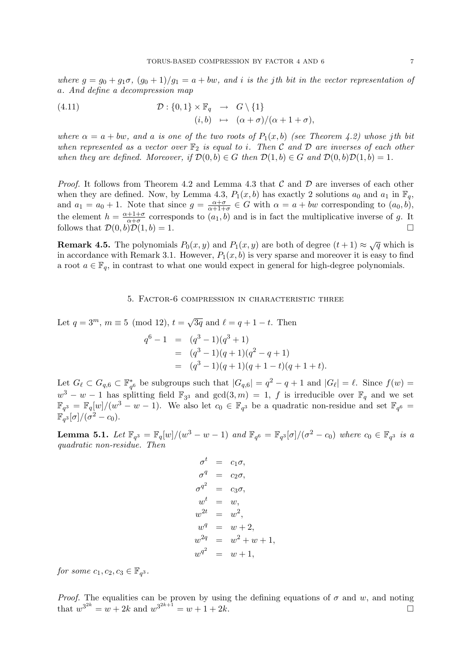where  $g = g_0 + g_1\sigma$ ,  $(g_0 + 1)/g_1 = a + bw$ , and i is the jth bit in the vector representation of a. And define a decompression map

(4.11) 
$$
\mathcal{D}: \{0,1\} \times \mathbb{F}_q \rightarrow G \setminus \{1\} (i,b) \mapsto (\alpha + \sigma)/(\alpha + 1 + \sigma),
$$

where  $\alpha = a + bw$ , and a is one of the two roots of  $P_1(x, b)$  (see Theorem 4.2) whose jth bit when represented as a vector over  $\mathbb{F}_2$  is equal to i. Then C and D are inverses of each other when they are defined. Moreover, if  $\mathcal{D}(0, b) \in G$  then  $\mathcal{D}(1, b) \in G$  and  $\mathcal{D}(0, b)\mathcal{D}(1, b) = 1$ .

*Proof.* It follows from Theorem 4.2 and Lemma 4.3 that  $\mathcal C$  and  $\mathcal D$  are inverses of each other when they are defined. Now, by Lemma 4.3,  $P_1(x, b)$  has exactly 2 solutions  $a_0$  and  $a_1$  in  $\mathbb{F}_q$ , and  $a_1 = a_0 + 1$ . Note that since  $g = \frac{\alpha + \sigma}{\alpha + 1 + \sigma}$  $\frac{\alpha+\sigma}{\alpha+1+\sigma} \in G$  with  $\alpha = a + bw$  corresponding to  $(a_0, b)$ , the element  $h = \frac{\alpha + 1 + \sigma}{\alpha + \sigma}$  $\frac{+1+\sigma}{\alpha+\sigma}$  corresponds to  $(a_1, b)$  and is in fact the multiplicative inverse of g. It follows that  $\mathcal{D}(0,b)\mathcal{D}(1,b) = 1.$ 

**Remark 4.5.** The polynomials  $P_0(x, y)$  and  $P_1(x, y)$  are both of degree  $(t + 1) \approx \sqrt{q}$  which is in accordance with Remark 3.1. However,  $P_1(x, b)$  is very sparse and moreover it is easy to find a root  $a \in \mathbb{F}_q$ , in contrast to what one would expect in general for high-degree polynomials.

# 5. Factor-6 compression in characteristic three

Let  $q = 3^m$ ,  $m \equiv 5 \pmod{12}$ ,  $t = \sqrt{3q}$  and  $\ell = q + 1 - t$ . Then

$$
q^{6}-1 = (q^{3}-1)(q^{3}+1)
$$
  
=  $(q^{3}-1)(q+1)(q^{2}-q+1)$   
=  $(q^{3}-1)(q+1)(q+1-t)(q+1+t)$ .

Let  $G_{\ell} \subset G_{q,6} \subset \mathbb{F}_{q^6}^*$  be subgroups such that  $|G_{q,6}| = q^2 - q + 1$  and  $|G_{\ell}| = \ell$ . Since  $f(w) =$  $w^3 - w - 1$  has splitting field  $\mathbb{F}_{3^3}$  and  $gcd(3, m) = 1$ , f is irreducible over  $\mathbb{F}_q$  and we set  $\mathbb{F}_{q^3} = \mathbb{F}_q[w]/(w^3 - w - 1)$ . We also let  $c_0 \in \mathbb{F}_{q^3}$  be a quadratic non-residue and set  $\mathbb{F}_{q^6}$  $\mathbb{F}_{q^3}[\sigma]/(\sigma^2-c_0).$ 

**Lemma 5.1.** Let  $\mathbb{F}_{q^3} = \mathbb{F}_q[w]/(w^3 - w - 1)$  and  $\mathbb{F}_{q^6} = \mathbb{F}_{q^3}[\sigma]/(\sigma^2 - c_0)$  where  $c_0 \in \mathbb{F}_{q^3}$  is a quadratic non-residue. Then

$$
\sigma^t = c_1 \sigma,
$$
  
\n
$$
\sigma^q = c_2 \sigma,
$$
  
\n
$$
\sigma^{q^2} = c_3 \sigma,
$$
  
\n
$$
w^t = w,
$$
  
\n
$$
w^{2t} = w^2,
$$
  
\n
$$
w^q = w + 2,
$$
  
\n
$$
w^{2q} = w + 1,
$$
  
\n
$$
w^{q^2} = w + 1,
$$

for some  $c_1, c_2, c_3 \in \mathbb{F}_{q^3}$ .

*Proof.* The equalities can be proven by using the defining equations of  $\sigma$  and w, and noting that  $w^{3^{2k}} = w + 2k$  and  $w^{3^{2k+1}} = w + 1 + 2k$ .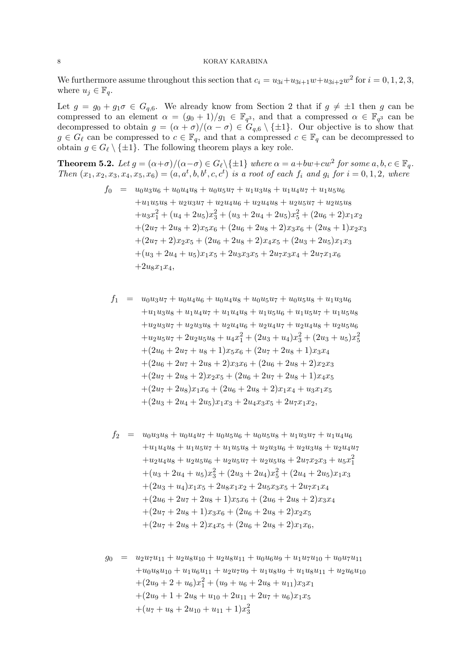We furthermore assume throughout this section that  $c_i = u_{3i} + u_{3i+1}w + u_{3i+2}w^2$  for  $i = 0, 1, 2, 3$ , where  $u_j \in \mathbb{F}_q$ .

Let  $g = g_0 + g_1 \sigma \in G_{q,6}$ . We already know from Section 2 that if  $g \neq \pm 1$  then g can be compressed to an element  $\alpha = (g_0 + 1)/g_1 \in \mathbb{F}_{q^3}$ , and that a compressed  $\alpha \in \mathbb{F}_{q^3}$  can be decompressed to obtain  $g = (\alpha + \sigma)/(\alpha - \sigma) \in G_{q,6} \setminus \{\pm 1\}$ . Our objective is to show that  $g \in G_{\ell}$  can be compressed to  $c \in \mathbb{F}_q$ , and that a compressed  $c \in \mathbb{F}_q$  can be decompressed to obtain  $g \in G_{\ell} \setminus \{\pm 1\}$ . The following theorem plays a key role.

**Theorem 5.2.** Let  $g = (\alpha + \sigma)/(\alpha - \sigma) \in G_{\ell} \setminus \{\pm 1\}$  where  $\alpha = a + bw + cw^2$  for some  $a, b, c \in \mathbb{F}_q$ . Then  $(x_1, x_2, x_3, x_4, x_5, x_6) = (a, a^t, b, b^t, c, c^t)$  is a root of each  $f_i$  and  $g_i$  for  $i = 0, 1, 2$ , where

$$
f_0 = u_0 u_3 u_6 + u_0 u_4 u_8 + u_0 u_5 u_7 + u_1 u_3 u_8 + u_1 u_4 u_7 + u_1 u_5 u_6
$$
  
+u\_1 u\_5 u\_8 + u\_2 u\_3 u\_7 + u\_2 u\_4 u\_6 + u\_2 u\_4 u\_8 + u\_2 u\_5 u\_7 + u\_2 u\_5 u\_8  
+u\_3 x\_1^2 + (u\_4 + 2 u\_5) x\_3^2 + (u\_3 + 2 u\_4 + 2 u\_5) x\_5^2 + (2 u\_6 + 2) x\_1 x\_2  
+ (2 u\_7 + 2 u\_8 + 2) x\_5 x\_6 + (2 u\_6 + 2 u\_8 + 2) x\_3 x\_6 + (2 u\_8 + 1) x\_2 x\_3  
+ (2 u\_7 + 2) x\_2 x\_5 + (2 u\_6 + 2 u\_8 + 2) x\_4 x\_5 + (2 u\_3 + 2 u\_5) x\_1 x\_3  
+ (u\_3 + 2 u\_4 + u\_5) x\_1 x\_5 + 2 u\_3 x\_3 x\_5 + 2 u\_7 x\_3 x\_4 + 2 u\_7 x\_1 x\_6  
+ 2 u\_8 x\_1 x\_4,

$$
f_1 = u_0 u_3 u_7 + u_0 u_4 u_6 + u_0 u_4 u_8 + u_0 u_5 u_7 + u_0 u_5 u_8 + u_1 u_3 u_6
$$
  
\n
$$
+ u_1 u_3 u_8 + u_1 u_4 u_7 + u_1 u_4 u_8 + u_1 u_5 u_6 + u_1 u_5 u_7 + u_1 u_5 u_8
$$
  
\n
$$
+ u_2 u_3 u_7 + u_2 u_3 u_8 + u_2 u_4 u_6 + u_2 u_4 u_7 + u_2 u_4 u_8 + u_2 u_5 u_6
$$
  
\n
$$
+ u_2 u_5 u_7 + 2 u_2 u_5 u_8 + u_4 x_1^2 + (2 u_3 + u_4) x_3^2 + (2 u_3 + u_5) x_5^2
$$
  
\n
$$
+ (2 u_6 + 2 u_7 + u_8 + 1) x_5 x_6 + (2 u_7 + 2 u_8 + 1) x_3 x_4
$$
  
\n
$$
+ (2 u_6 + 2 u_7 + 2 u_8 + 2) x_3 x_6 + (2 u_6 + 2 u_8 + 2) x_2 x_3
$$
  
\n
$$
+ (2 u_7 + 2 u_8 + 2) x_2 x_5 + (2 u_6 + 2 u_7 + 2 u_8 + 1) x_4 x_5
$$
  
\n
$$
+ (2 u_7 + 2 u_8) x_1 x_6 + (2 u_6 + 2 u_8 + 2) x_1 x_4 + u_3 x_1 x_5
$$
  
\n
$$
+ (2 u_3 + 2 u_4 + 2 u_5) x_1 x_3 + 2 u_4 x_3 x_5 + 2 u_7 x_1 x_2,
$$

$$
f_2 = u_0 u_3 u_8 + u_0 u_4 u_7 + u_0 u_5 u_6 + u_0 u_5 u_8 + u_1 u_3 u_7 + u_1 u_4 u_6
$$
  
\n
$$
+ u_1 u_4 u_8 + u_1 u_5 u_7 + u_1 u_5 u_8 + u_2 u_3 u_6 + u_2 u_3 u_8 + u_2 u_4 u_7
$$
  
\n
$$
+ u_2 u_4 u_8 + u_2 u_5 u_6 + u_2 u_5 u_7 + u_2 u_5 u_8 + 2 u_7 x_2 x_3 + u_5 x_1^2
$$
  
\n
$$
+ (u_3 + 2 u_4 + u_5) x_3^2 + (2 u_3 + 2 u_4) x_5^2 + (2 u_4 + 2 u_5) x_1 x_3
$$
  
\n
$$
+ (2 u_3 + u_4) x_1 x_5 + 2 u_8 x_1 x_2 + 2 u_5 x_3 x_5 + 2 u_7 x_1 x_4
$$
  
\n
$$
+ (2 u_6 + 2 u_7 + 2 u_8 + 1) x_5 x_6 + (2 u_6 + 2 u_8 + 2) x_3 x_4
$$
  
\n
$$
+ (2 u_7 + 2 u_8 + 1) x_3 x_6 + (2 u_6 + 2 u_8 + 2) x_2 x_5
$$
  
\n
$$
+ (2 u_7 + 2 u_8 + 2) x_4 x_5 + (2 u_6 + 2 u_8 + 2) x_1 x_6,
$$

$$
g_0 = u_2u_7u_{11} + u_2u_8u_{10} + u_2u_8u_{11} + u_0u_6u_9 + u_1u_7u_{10} + u_0u_7u_{11}
$$
  
+
$$
u_0u_8u_{10} + u_1u_6u_{11} + u_2u_7u_9 + u_1u_8u_9 + u_1u_8u_{11} + u_2u_6u_{10}
$$
  
+
$$
(2u_9 + 2 + u_6)x_1^2 + (u_9 + u_6 + 2u_8 + u_{11})x_3x_1
$$
  
+
$$
(2u_9 + 1 + 2u_8 + u_{10} + 2u_{11} + 2u_7 + u_6)x_1x_5
$$
  
+
$$
(u_7 + u_8 + 2u_{10} + u_{11} + 1)x_3^2
$$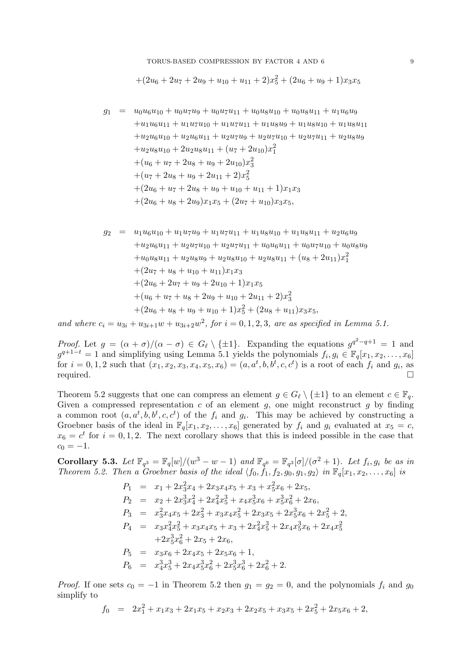TORUS-BASED COMPRESSION BY FACTOR 4 AND 6 9

$$
+(2u6+2u7+2u9+u10+u11+2)x52+(2u6+u9+1)x3x5
$$

$$
g_1 = u_0 u_6 u_{10} + u_0 u_7 u_9 + u_0 u_7 u_{11} + u_0 u_8 u_{10} + u_0 u_8 u_{11} + u_1 u_6 u_9
$$
  
\n
$$
+ u_1 u_6 u_{11} + u_1 u_7 u_{10} + u_1 u_7 u_{11} + u_1 u_8 u_9 + u_1 u_8 u_{10} + u_1 u_8 u_{11}
$$
  
\n
$$
+ u_2 u_6 u_{10} + u_2 u_6 u_{11} + u_2 u_7 u_9 + u_2 u_7 u_{10} + u_2 u_7 u_{11} + u_2 u_8 u_9
$$
  
\n
$$
+ u_2 u_8 u_{10} + 2 u_2 u_8 u_{11} + (u_7 + 2 u_{10}) x_1^2
$$
  
\n
$$
+ (u_6 + u_7 + 2 u_8 + u_9 + 2 u_{10}) x_3^2
$$
  
\n
$$
+ (u_7 + 2 u_8 + u_9 + 2 u_{11} + 2) x_5^2
$$
  
\n
$$
+ (2 u_6 + u_7 + 2 u_8 + u_9 + u_{10} + u_{11} + 1) x_1 x_3
$$
  
\n
$$
+ (2 u_6 + u_8 + 2 u_9) x_1 x_5 + (2 u_7 + u_{10}) x_3 x_5,
$$

$$
g_2 = u_1 u_6 u_{10} + u_1 u_7 u_9 + u_1 u_7 u_{11} + u_1 u_8 u_{10} + u_1 u_8 u_{11} + u_2 u_6 u_9
$$
  
\n
$$
+ u_2 u_6 u_{11} + u_2 u_7 u_{10} + u_2 u_7 u_{11} + u_0 u_6 u_{11} + u_0 u_7 u_{10} + u_0 u_8 u_9
$$
  
\n
$$
+ u_0 u_8 u_{11} + u_2 u_8 u_9 + u_2 u_8 u_{10} + u_2 u_8 u_{11} + (u_8 + 2 u_{11}) x_1^2
$$
  
\n
$$
+ (2u_7 + u_8 + u_{10} + u_{11}) x_1 x_3
$$
  
\n
$$
+ (2u_6 + 2u_7 + u_8 + 2u_9 + u_{10} + 2u_{11} + 2) x_3^2
$$
  
\n
$$
+ (u_6 + u_7 + u_8 + 2u_9 + u_{10} + 2u_{11} + 2) x_3^2
$$
  
\n
$$
+ (2u_6 + u_8 + u_9 + u_{10} + 1) x_5^2 + (2u_8 + u_{11}) x_3 x_5,
$$

and where  $c_i = u_{3i} + u_{3i+1}w + u_{3i+2}w^2$ , for  $i = 0, 1, 2, 3$ , are as specified in Lemma 5.1.

*Proof.* Let  $g = (\alpha + \sigma)/(\alpha - \sigma) \in G_\ell \setminus \{\pm 1\}$ . Expanding the equations  $g^{q^2-q+1} = 1$  and  $g^{q+1-t} = 1$  and simplifying using Lemma 5.1 yields the polynomials  $f_i, g_i \in \mathbb{F}_q[x_1, x_2, \ldots, x_6]$ for  $i = 0, 1, 2$  such that  $(x_1, x_2, x_3, x_4, x_5, x_6) = (a, a^t, b, b^t, c, c^t)$  is a root of each  $f_i$  and  $g_i$ , as required.

Theorem 5.2 suggests that one can compress an element  $g \in G_{\ell} \setminus \{\pm 1\}$  to an element  $c \in \mathbb{F}_q$ . Given a compressed representation  $c$  of an element  $g$ , one might reconstruct  $g$  by finding a common root  $(a, a^t, b, b^t, c, c^t)$  of the  $f_i$  and  $g_i$ . This may be achieved by constructing a Groebner basis of the ideal in  $\mathbb{F}_q[x_1, x_2, \ldots, x_6]$  generated by  $f_i$  and  $g_i$  evaluated at  $x_5 = c$ ,  $x_6 = c^t$  for  $i = 0, 1, 2$ . The next corollary shows that this is indeed possible in the case that  $c_0 = -1.$ 

Corollary 5.3. Let  $\mathbb{F}_{q^3} = \mathbb{F}_q[w]/(w^3 - w - 1)$  and  $\mathbb{F}_{q^6} = \mathbb{F}_{q^3}[\sigma]/(\sigma^2 + 1)$ . Let  $f_i, g_i$  be as in Theorem 5.2. Then a Groebner basis of the ideal  $\langle f_0, \hat{f}_1, f_2, g_0, g_1, g_2 \rangle$  in  $\mathbb{F}_q[x_1, x_2, \ldots, x_6]$  is

$$
P_1 = x_1 + 2x_3^2x_4 + 2x_3x_4x_5 + x_3 + x_5^2x_6 + 2x_5,
$$
  
\n
$$
P_2 = x_2 + 2x_3^3x_4^2 + 2x_4^2x_5^3 + x_4x_5^3x_6 + x_5^3x_6^2 + 2x_6,
$$
  
\n
$$
P_3 = x_3^2x_4x_5 + 2x_3^2 + x_3x_4x_5^2 + 2x_3x_5 + 2x_5^3x_6 + 2x_5^2 + 2,
$$
  
\n
$$
P_4 = x_3x_4^2x_5^2 + x_3x_4x_5 + x_3 + 2x_4^2x_5^3 + 2x_4x_5^3x_6 + 2x_4x_5^2
$$
  
\n
$$
+2x_5^3x_6^2 + 2x_5 + 2x_6,
$$
  
\n
$$
P_5 = x_3x_6 + 2x_4x_5 + 2x_5x_6 + 1,
$$
  
\n
$$
P_6 = x_4^3x_5^3 + 2x_4x_5^3x_6^2 + 2x_5^3x_6^3 + 2x_6^2 + 2.
$$

*Proof.* If one sets  $c_0 = -1$  in Theorem 5.2 then  $g_1 = g_2 = 0$ , and the polynomials  $f_i$  and  $g_0$ simplify to

$$
f_0 = 2x_1^2 + x_1x_3 + 2x_1x_5 + x_2x_3 + 2x_2x_5 + x_3x_5 + 2x_5^2 + 2x_5x_6 + 2,
$$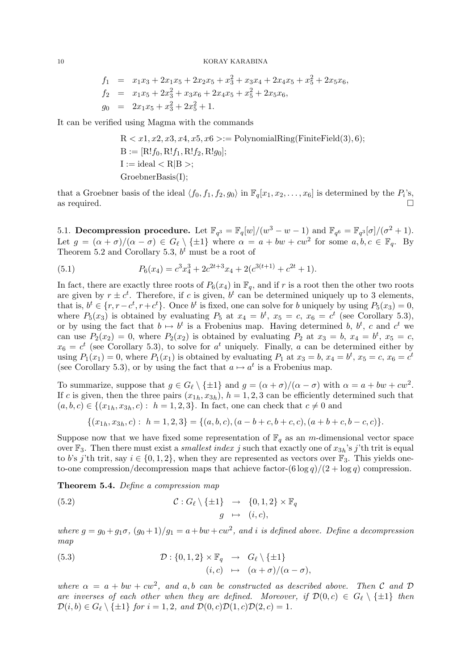$$
f_1 = x_1x_3 + 2x_1x_5 + 2x_2x_5 + x_3^2 + x_3x_4 + 2x_4x_5 + x_5^2 + 2x_5x_6,
$$
  
\n
$$
f_2 = x_1x_5 + 2x_3^2 + x_3x_6 + 2x_4x_5 + x_5^2 + 2x_5x_6,
$$
  
\n
$$
g_0 = 2x_1x_5 + x_3^2 + 2x_5^2 + 1.
$$

It can be verified using Magma with the commands

$$
R < x1, x2, x3, x4, x5, x6 > := \text{PolynomialRing}(\text{FiniteField}(3), 6);
$$
\n
$$
B := [R!f_0, R!f_1, R!f_2, R!g_0];
$$
\n
$$
I := \text{ideal} < R|B >;
$$
\n
$$
\text{GroebnerBasis}(I);
$$

that a Groebner basis of the ideal  $\langle f_0, f_1, f_2, g_0 \rangle$  in  $\mathbb{F}_q[x_1, x_2, \dots, x_6]$  is determined by the  $P_i$ 's, as required.

5.1. Decompression procedure. Let  $\mathbb{F}_{q^3} = \mathbb{F}_q[w]/(w^3 - w - 1)$  and  $\mathbb{F}_{q^6} = \mathbb{F}_{q^3}[\sigma]/(\sigma^2 + 1)$ . Let  $g = (\alpha + \sigma)/(\alpha - \sigma) \in G_\ell \setminus \{\pm 1\}$  where  $\alpha = a + bw + cw^2$  for some  $a, b, c \in \mathbb{F}_q$ . By Theorem 5.2 and Corollary 5.3,  $b^t$  must be a root of

(5.1) 
$$
P_6(x_4) = c^3 x_4^3 + 2c^{2t+3} x_4 + 2(c^{3(t+1)} + c^{2t} + 1).
$$

In fact, there are exactly three roots of  $P_6(x_4)$  in  $\mathbb{F}_q$ , and if r is a root then the other two roots are given by  $r \pm c^t$ . Therefore, if c is given,  $b^t$  can be determined uniquely up to 3 elements, that is,  $b^t \in \{r, r - c^t, r + c^t\}$ . Once  $b^t$  is fixed, one can solve for b uniquely by using  $P_5(x_3) = 0$ , where  $P_5(x_3)$  is obtained by evaluating  $P_5$  at  $x_4 = b^t$ ,  $x_5 = c$ ,  $x_6 = c^t$  (see Corollary 5.3), or by using the fact that  $b \mapsto b^t$  is a Frobenius map. Having determined b,  $b^t$ , c and  $c^t$  we can use  $P_2(x_2) = 0$ , where  $P_2(x_2)$  is obtained by evaluating  $P_2$  at  $x_3 = b$ ,  $x_4 = b^t$ ,  $x_5 = c$ ,  $x_6 = c^t$  (see Corollary 5.3), to solve for  $a^t$  uniquely. Finally, a can be determined either by using  $P_1(x_1) = 0$ , where  $P_1(x_1)$  is obtained by evaluating  $P_1$  at  $x_3 = b$ ,  $x_4 = b^t$ ,  $x_5 = c$ ,  $x_6 = c^t$ (see Corollary 5.3), or by using the fact that  $a \mapsto a^t$  is a Frobenius map.

To summarize, suppose that  $g \in G_\ell \setminus \{\pm 1\}$  and  $g = (\alpha + \sigma)/(\alpha - \sigma)$  with  $\alpha = a + bw + cw^2$ . If c is given, then the three pairs  $(x_{1h}, x_{3h})$ ,  $h = 1, 2, 3$  can be efficiently determined such that  $(a, b, c) \in \{(x_{1h}, x_{3h}, c): h = 1, 2, 3\}.$  In fact, one can check that  $c \neq 0$  and

$$
\{(x_{1h}, x_{3h}, c): h = 1, 2, 3\} = \{(a, b, c), (a - b + c, b + c, c), (a + b + c, b - c, c)\}.
$$

Suppose now that we have fixed some representation of  $\mathbb{F}_q$  as an m-dimensional vector space over  $\mathbb{F}_3$ . Then there must exist a *smallest index j* such that exactly one of  $x_{3h}$ 's j'th trit is equal to b's j'th trit, say  $i \in \{0, 1, 2\}$ , when they are represented as vectors over  $\mathbb{F}_3$ . This yields oneto-one compression/decompression maps that achieve factor- $(6 \log q)/(2 + \log q)$  compression.

Theorem 5.4. Define a compression map

(5.2) 
$$
\mathcal{C}: G_{\ell} \setminus \{\pm 1\} \rightarrow \{0, 1, 2\} \times \mathbb{F}_q
$$

$$
g \mapsto (i, c),
$$

where  $g = g_0 + g_1\sigma$ ,  $(g_0 + 1)/g_1 = a + bw + cw^2$ , and i is defined above. Define a decompression map

(5.3) 
$$
\mathcal{D}: \{0,1,2\} \times \mathbb{F}_q \rightarrow G_{\ell} \setminus \{\pm 1\} (i,c) \mapsto (\alpha + \sigma)/(\alpha - \sigma),
$$

where  $\alpha = a + bw + cw^2$ , and a,b can be constructed as described above. Then C and D are inverses of each other when they are defined. Moreover, if  $\mathcal{D}(0, c) \in G_\ell \setminus \{\pm 1\}$  then  $\mathcal{D}(i, b) \in G_{\ell} \setminus \{\pm 1\}$  for  $i = 1, 2$ , and  $\mathcal{D}(0, c)\mathcal{D}(1, c)\mathcal{D}(2, c) = 1$ .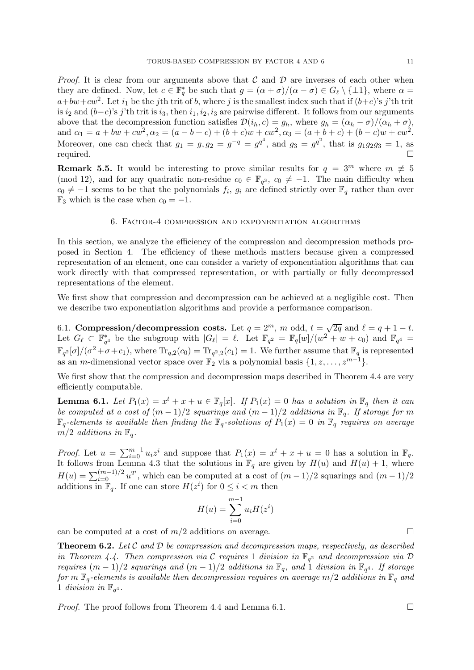*Proof.* It is clear from our arguments above that C and D are inverses of each other when they are defined. Now, let  $c \in \mathbb{F}_q^*$  be such that  $g = (\alpha + \sigma)/(\alpha - \sigma) \in G_\ell \setminus \{\pm 1\}$ , where  $\alpha =$  $a+bw+cw^2$ . Let  $i_1$  be the j<sup>th</sup> trit of b, where j is the smallest index such that if  $(b+c)$ 's j'th trit is  $i_2$  and  $(b-c)$ 's j'th trit is  $i_3$ , then  $i_1, i_2, i_3$  are pairwise different. It follows from our arguments above that the decompression function satisfies  $\mathcal{D}(i_h, c) = g_h$ , where  $g_h = (\alpha_h - \sigma)/(\alpha_h + \sigma)$ , and  $\alpha_1 = a + bw + cw^2$ ,  $\alpha_2 = (a - b + c) + (b + c)w + cw^2$ ,  $\alpha_3 = (a + b + c) + (b - c)w + cw^2$ . Moreover, one can check that  $g_1 = g$ ,  $g_2 = g^{-q} = g^{q^2}$ , and  $g_3 = g^{q^2}$ , that is  $g_1 g_2 g_3 = 1$ , as required.

**Remark 5.5.** It would be interesting to prove similar results for  $q = 3^m$  where  $m \neq 5$ (mod 12), and for any quadratic non-residue  $c_0 \in \mathbb{F}_{q^3}$ ,  $c_0 \neq -1$ . The main difficulty when  $c_0 \neq -1$  seems to be that the polynomials  $f_i, g_i$  are defined strictly over  $\mathbb{F}_q$  rather than over  $\mathbb{F}_3$  which is the case when  $c_0 = -1$ .

# 6. Factor-4 compression and exponentiation algorithms

In this section, we analyze the efficiency of the compression and decompression methods proposed in Section 4. The efficiency of these methods matters because given a compressed representation of an element, one can consider a variety of exponentiation algorithms that can work directly with that compressed representation, or with partially or fully decompressed representations of the element.

We first show that compression and decompression can be achieved at a negligible cost. Then we describe two exponentiation algorithms and provide a performance comparison.

6.1. Compression/decompression costs. Let  $q = 2^m$ , m odd,  $t = \sqrt{2q}$  and  $\ell = q + 1 - t$ . Let  $G_{\ell} \subset \mathbb{F}_{q^4}^*$  be the subgroup with  $|G_{\ell}| = \ell$ . Let  $\mathbb{F}_{q^2} = \mathbb{F}_{q}[w]/(w^2 + w + c_0)$  and  $\mathbb{F}_{q^4} =$  $\mathbb{F}_{q^2}[\sigma]/(\sigma^2+\sigma+c_1)$ , where  $\text{Tr}_{q,2}(c_0)=\text{Tr}_{q^2,2}(c_1)=1$ . We further assume that  $\mathbb{F}_q$  is represented as an *m*-dimensional vector space over  $\mathbb{F}_2$  via a polynomial basis  $\{1, z, \ldots, z^{m-1}\}.$ 

We first show that the compression and decompression maps described in Theorem 4.4 are very efficiently computable.

**Lemma 6.1.** Let  $P_1(x) = x^t + x + u \in \mathbb{F}_q[x]$ . If  $P_1(x) = 0$  has a solution in  $\mathbb{F}_q$  then it can be computed at a cost of  $(m-1)/2$  squarings and  $(m-1)/2$  additions in  $\mathbb{F}_q$ . If storage for m  $\mathbb{F}_q$ -elements is available then finding the  $\mathbb{F}_q$ -solutions of  $P_1(x) = 0$  in  $\mathbb{F}_q$  requires on average  $m/2$  additions in  $\mathbb{F}_q$ .

*Proof.* Let  $u = \sum_{i=0}^{m-1} u_i z^i$  and suppose that  $P_1(x) = x^t + x + u = 0$  has a solution in  $\mathbb{F}_q$ . It follows from Lemma 4.3 that the solutions in  $\mathbb{F}_q$  are given by  $H(u)$  and  $H(u) + 1$ , where  $H(u) = \sum_{i=0}^{(m-1)/2} u^{2^i}$ , which can be computed at a cost of  $(m-1)/2$  squarings and  $(m-1)/2$ additions in  $\mathbb{F}_q$ . If one can store  $H(z^i)$  for  $0 \leq i < m$  then

$$
H(u) = \sum_{i=0}^{m-1} u_i H(z^i)
$$

can be computed at a cost of  $m/2$  additions on average.

**Theorem 6.2.** Let  $C$  and  $D$  be compression and decompression maps, respectively, as described in Theorem 4.4. Then compression via C requires 1 division in  $\mathbb{F}_{q^2}$  and decompression via D requires  $(m-1)/2$  squarings and  $(m-1)/2$  additions in  $\mathbb{F}_q$ , and 1 division in  $\mathbb{F}_{q^4}$ . If storage for m  $\mathbb{F}_q$ -elements is available then decompression requires on average m/2 additions in  $\mathbb{F}_q$  and 1 division in  $\mathbb{F}_{q^4}$ .

*Proof.* The proof follows from Theorem 4.4 and Lemma 6.1.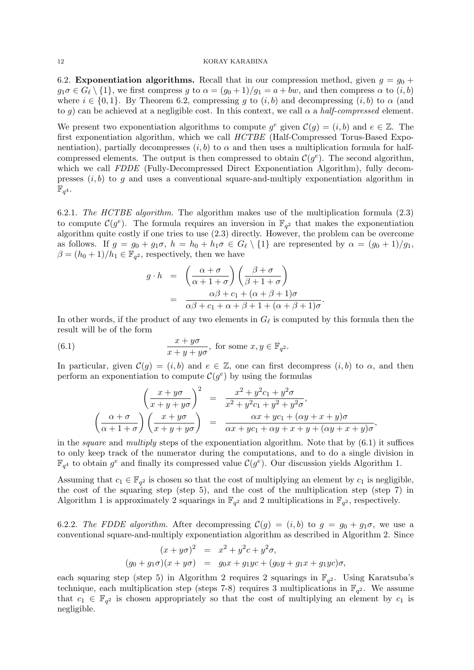6.2. **Exponentiation algorithms.** Recall that in our compression method, given  $g = g_0 +$  $g_1\sigma \in G_\ell \setminus \{1\}$ , we first compress g to  $\alpha = (g_0 + 1)/g_1 = a + bw$ , and then compress  $\alpha$  to  $(i, b)$ where  $i \in \{0,1\}$ . By Theorem 6.2, compressing q to  $(i, b)$  and decompressing  $(i, b)$  to  $\alpha$  (and to q) can be achieved at a negligible cost. In this context, we call  $\alpha$  a half-compressed element.

We present two exponentiation algorithms to compute  $g^e$  given  $\mathcal{C}(g) = (i, b)$  and  $e \in \mathbb{Z}$ . The first exponentiation algorithm, which we call HCTBE (Half-Compressed Torus-Based Exponentiation), partially decompresses  $(i, b)$  to  $\alpha$  and then uses a multiplication formula for halfcompressed elements. The output is then compressed to obtain  $\mathcal{C}(g^e)$ . The second algorithm, which we call FDDE (Fully-Decompressed Direct Exponentiation Algorithm), fully decompresses  $(i, b)$  to g and uses a conventional square-and-multiply exponentiation algorithm in  $\mathbb{F}_{q^4}.$ 

6.2.1. The HCTBE algorithm. The algorithm makes use of the multiplication formula (2.3) to compute  $\mathcal{C}(g^e)$ . The formula requires an inversion in  $\mathbb{F}_{q^2}$  that makes the exponentiation algorithm quite costly if one tries to use (2.3) directly. However, the problem can be overcome as follows. If  $g = g_0 + g_1\sigma$ ,  $h = h_0 + h_1\sigma \in G_\ell \setminus \{1\}$  are represented by  $\alpha = (g_0 + 1)/g_1$ ,  $\beta = (h_0 + 1)/h_1 \in \mathbb{F}_{q^2}$ , respectively, then we have

$$
g \cdot h = \left(\frac{\alpha + \sigma}{\alpha + 1 + \sigma}\right) \left(\frac{\beta + \sigma}{\beta + 1 + \sigma}\right)
$$
  
= 
$$
\frac{\alpha\beta + c_1 + (\alpha + \beta + 1)\sigma}{\alpha\beta + c_1 + \alpha + \beta + 1 + (\alpha + \beta + 1)\sigma}.
$$

In other words, if the product of any two elements in  $G_{\ell}$  is computed by this formula then the result will be of the form

(6.1) 
$$
\frac{x+y\sigma}{x+y+y\sigma}, \text{ for some } x, y \in \mathbb{F}_{q^2}.
$$

In particular, given  $\mathcal{C}(g) = (i, b)$  and  $e \in \mathbb{Z}$ , one can first decompress  $(i, b)$  to  $\alpha$ , and then perform an exponentiation to compute  $\mathcal{C}(g^e)$  by using the formulas

$$
\left(\frac{x+y\sigma}{x+y+y\sigma}\right)^2 = \frac{x^2+y^2c_1+y^2\sigma}{x^2+y^2c_1+y^2+y^2\sigma},
$$

$$
\left(\frac{\alpha+\sigma}{\alpha+1+\sigma}\right)\left(\frac{x+y\sigma}{x+y+y\sigma}\right) = \frac{\alpha x+yc_1+(\alpha y+x+y)\sigma}{\alpha x+yc_1+\alpha y+x+y+(\alpha y+x+y)\sigma},
$$

in the *square* and *multiply* steps of the exponentiation algorithm. Note that by  $(6.1)$  it suffices to only keep track of the numerator during the computations, and to do a single division in  $\mathbb{F}_{q^4}$  to obtain  $g^e$  and finally its compressed value  $\mathcal{C}(g^e)$ . Our discussion yields Algorithm 1.

Assuming that  $c_1 \in \mathbb{F}_{q^2}$  is chosen so that the cost of multiplying an element by  $c_1$  is negligible, the cost of the squaring step (step 5), and the cost of the multiplication step (step 7) in Algorithm 1 is approximately 2 squarings in  $\mathbb{F}_{q^2}$  and 2 multiplications in  $\mathbb{F}_{q^2}$ , respectively.

6.2.2. The FDDE algorithm. After decompressing  $\mathcal{C}(g) = (i, b)$  to  $g = g_0 + g_1\sigma$ , we use a conventional square-and-multiply exponentiation algorithm as described in Algorithm 2. Since

$$
(x + y\sigma)^2 = x^2 + y^2c + y^2\sigma,
$$
  
\n
$$
(g_0 + g_1\sigma)(x + y\sigma) = g_0x + g_1ye + (g_0y + g_1x + g_1ye)\sigma,
$$

each squaring step (step 5) in Algorithm 2 requires 2 squarings in  $\mathbb{F}_{q^2}$ . Using Karatsuba's technique, each multiplication step (steps 7-8) requires 3 multiplications in  $\mathbb{F}_{q^2}$ . We assume that  $c_1 \in \mathbb{F}_{q^2}$  is chosen appropriately so that the cost of multiplying an element by  $c_1$  is negligible.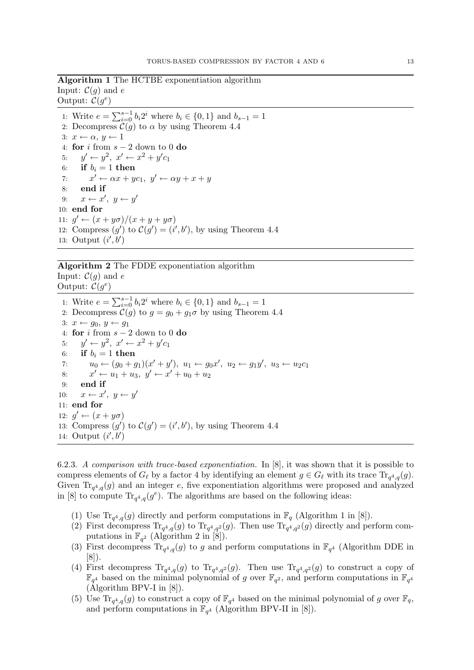Algorithm 1 The HCTBE exponentiation algorithm Input:  $\mathcal{C}(g)$  and e Output:  $\mathcal{C}(g^e)$ 

1: Write  $e = \sum_{i=0}^{s-1} b_i 2^i$  where  $b_i \in \{0, 1\}$  and  $b_{s-1} = 1$ 2: Decompress  $C(g)$  to  $\alpha$  by using Theorem 4.4 3:  $x \leftarrow \alpha, y \leftarrow 1$ 4: for  $i$  from  $s - 2$  down to 0 do 5:  $y' \leftarrow y^2, x' \leftarrow x^2 + y'c_1$ 6: if  $b_i = 1$  then 7:  $x' \leftarrow \alpha x + y c_1, y' \leftarrow \alpha y + x + y$ 8: end if 9:  $x \leftarrow x', y \leftarrow y'$ 10: end for 11:  $g' \leftarrow (x + y\sigma)/(x + y + y\sigma)$ 12: Compress  $(g')$  to  $\mathcal{C}(g') = (i', b')$ , by using Theorem 4.4 13: Output  $(i',b')$ 

# Algorithm 2 The FDDE exponentiation algorithm Input:  $\mathcal{C}(q)$  and e

Output:  $\mathcal{C}(g^e)$ 

1: Write  $e = \sum_{i=0}^{s-1} b_i 2^i$  where  $b_i \in \{0, 1\}$  and  $b_{s-1} = 1$ 2: Decompress  $\mathcal{C}(g)$  to  $g = g_0 + g_1 \sigma$  by using Theorem 4.4 3:  $x \leftarrow q_0, y \leftarrow q_1$ 4: for i from  $s - 2$  down to 0 do 5:  $y' \leftarrow y^2, x' \leftarrow x^2 + y'c_1$ 6: if  $b_i = 1$  then 7:  $u_0 \leftarrow (g_0 + g_1)(x' + y'), \ u_1 \leftarrow g_0 x', \ u_2 \leftarrow g_1 y', \ u_3 \leftarrow u_2 c_1$ 8:  $x' \leftarrow u_1 + u_3, \ y' \leftarrow x' + u_0 + u_2$ 9: end if 10:  $x \leftarrow x', y \leftarrow y'$ 11: end for 12:  $g' \leftarrow (x + y\sigma)$ 13: Compress  $(g')$  to  $\mathcal{C}(g') = (i', b')$ , by using Theorem 4.4 14: Output  $(i',b')$ 

6.2.3. A comparison with trace-based exponentiation. In [8], it was shown that it is possible to compress elements of  $G_\ell$  by a factor 4 by identifying an element  $g \in G_\ell$  with its trace  $\text{Tr}_{q^4,q}(g)$ . Given  $\text{Tr}_{q^4,q}(g)$  and an integer e, five exponentiation algorithms were proposed and analyzed in [8] to compute  $\text{Tr}_{q^4,q}(g^e)$ . The algorithms are based on the following ideas:

- (1) Use  $\text{Tr}_{q^4,q}(g)$  directly and perform computations in  $\mathbb{F}_q$  (Algorithm 1 in [8]).
- (2) First decompress  $\text{Tr}_{q^4,q}(g)$  to  $\text{Tr}_{q^4,q^2}(g)$ . Then use  $\text{Tr}_{q^4,q^2}(g)$  directly and perform computations in  $\mathbb{F}_{q^2}$  (Algorithm 2 in [8]).
- (3) First decompress  $Tr_{q^4,q}(g)$  to g and perform computations in  $\mathbb{F}_{q^4}$  (Algorithm DDE in [8]).
- (4) First decompress  $\text{Tr}_{q^4,q}(g)$  to  $\text{Tr}_{q^4,q^2}(g)$ . Then use  $\text{Tr}_{q^4,q^2}(g)$  to construct a copy of  $\mathbb{F}_{q^4}$  based on the minimal polynomial of g over  $\mathbb{F}_{q^2}$ , and perform computations in  $\mathbb{F}_{q^4}$ (Algorithm BPV-I in [8]).
- (5) Use  $\text{Tr}_{q^4,q}(g)$  to construct a copy of  $\mathbb{F}_{q^4}$  based on the minimal polynomial of g over  $\mathbb{F}_q$ , and perform computations in  $\mathbb{F}_{q^4}$  (Algorithm BPV-II in [8]).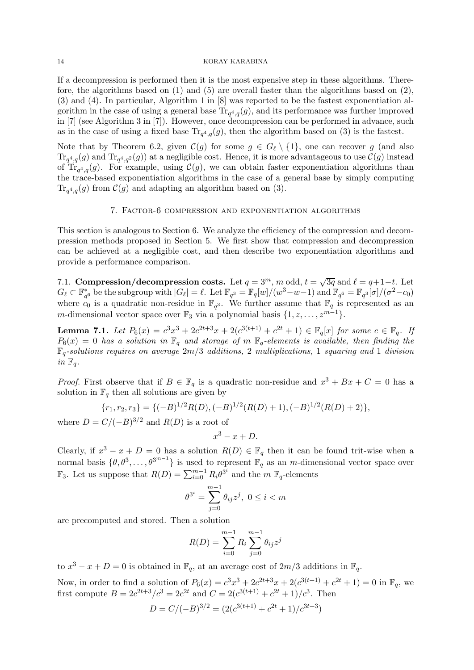If a decompression is performed then it is the most expensive step in these algorithms. Therefore, the algorithms based on  $(1)$  and  $(5)$  are overall faster than the algorithms based on  $(2)$ , (3) and (4). In particular, Algorithm 1 in [8] was reported to be the fastest exponentiation algorithm in the case of using a general base  $\text{Tr}_{q^4,q}(g)$ , and its performance was further improved in [7] (see Algorithm 3 in [7]). However, once decompression can be performed in advance, such as in the case of using a fixed base  $\text{Tr}_{q^4,q}(g)$ , then the algorithm based on (3) is the fastest.

Note that by Theorem 6.2, given  $\mathcal{C}(g)$  for some  $g \in G_{\ell} \setminus \{1\}$ , one can recover g (and also  $\text{Tr}_{q^4,q}(g)$  and  $\text{Tr}_{q^4,q^2}(g)$  at a negligible cost. Hence, it is more advantageous to use  $\mathcal{C}(g)$  instead of Tr<sub>q<sup>4</sup>,q</sub>(g). For example, using  $\mathcal{C}(g)$ , we can obtain faster exponentiation algorithms than the trace-based exponentiation algorithms in the case of a general base by simply computing  $\text{Tr}_{q^4,q}(g)$  from  $\mathcal{C}(g)$  and adapting an algorithm based on (3).

## 7. Factor-6 compression and exponentiation algorithms

This section is analogous to Section 6. We analyze the efficiency of the compression and decompression methods proposed in Section 5. We first show that compression and decompression can be achieved at a negligible cost, and then describe two exponentiation algorithms and provide a performance comparison.

7.1. Compression/decompression costs. Let  $q = 3^m$ , m odd,  $t = \sqrt{3q}$  and  $\ell = q+1-t$ . Let  $G_{\ell} \subset \mathbb{F}_{q^3}^*$  be the subgroup with  $|G_{\ell}| = \ell$ . Let  $\mathbb{F}_{q^3} = \mathbb{F}_{q}[w]/(w^3 - w - 1)$  and  $\mathbb{F}_{q^6} = \mathbb{F}_{q^3}[\sigma]/(\sigma^2 - c_0)$ where  $c_0$  is a quadratic non-residue in  $\mathbb{F}_{q^3}$ . We further assume that  $\mathbb{F}_q$  is represented as an  $\mathbb{F}_q$  is represented as an m-dimensional vector space over  $\mathbb{F}_3$  via a polynomial basis  $\{1, z, \ldots, z^{m-1}\}.$ 

**Lemma 7.1.** Let  $P_6(x) = c^3x^3 + 2c^{2t+3}x + 2(c^{3(t+1)} + c^{2t} + 1) \in \mathbb{F}_q[x]$  for some  $c \in \mathbb{F}_q$ . If  $P_6(x) = 0$  has a solution in  $\mathbb{F}_q$  and storage of m  $\mathbb{F}_q$ -elements is available, then finding the  $\mathbb{F}_q$ -solutions requires on average  $2m/3$  additions, 2 multiplications, 1 squaring and 1 division in  $\mathbb{F}_q$ .

*Proof.* First observe that if  $B \in \mathbb{F}_q$  is a quadratic non-residue and  $x^3 + Bx + C = 0$  has a solution in  $\mathbb{F}_q$  then all solutions are given by

$$
\{r_1, r_2, r_3\} = \{(-B)^{1/2}R(D), (-B)^{1/2}(R(D) + 1), (-B)^{1/2}(R(D) + 2)\},\
$$

where  $D = C/(-B)^{3/2}$  and  $R(D)$  is a root of

$$
x^3 - x + D.
$$

Clearly, if  $x^3 - x + D = 0$  has a solution  $R(D) \in \mathbb{F}_q$  then it can be found trit-wise when a normal basis  $\{\theta, \theta^3, \ldots, \theta^{3^{m-1}}\}$  is used to represent  $\mathbb{F}_q$  as an m-dimensional vector space over  $\mathbb{F}_3$ . Let us suppose that  $R(D) = \sum_{i=0}^{m-1} R_i \theta^{3^i}$  and the  $m \ \mathbb{F}_q$ -elements

$$
\theta^{3^i} = \sum_{j=0}^{m-1} \theta_{ij} z^j, \ 0 \le i < m
$$

are precomputed and stored. Then a solution

$$
R(D) = \sum_{i=0}^{m-1} R_i \sum_{j=0}^{m-1} \theta_{ij} z^j
$$

to  $x^3 - x + D = 0$  is obtained in  $\mathbb{F}_q$ , at an average cost of  $2m/3$  additions in  $\mathbb{F}_q$ .

Now, in order to find a solution of  $P_6(x) = c^3x^3 + 2c^{2t+3}x + 2(c^{3(t+1)} + c^{2t} + 1) = 0$  in  $\mathbb{F}_q$ , we first compute  $B = 2c^{2t+3}/c^3 = 2c^{2t}$  and  $C = 2(c^{3(t+1)} + c^{2t} + 1)/c^3$ . Then

$$
D = C/(-B)^{3/2} = (2(c^{3(t+1)} + c^{2t} + 1)/c^{3t+3})
$$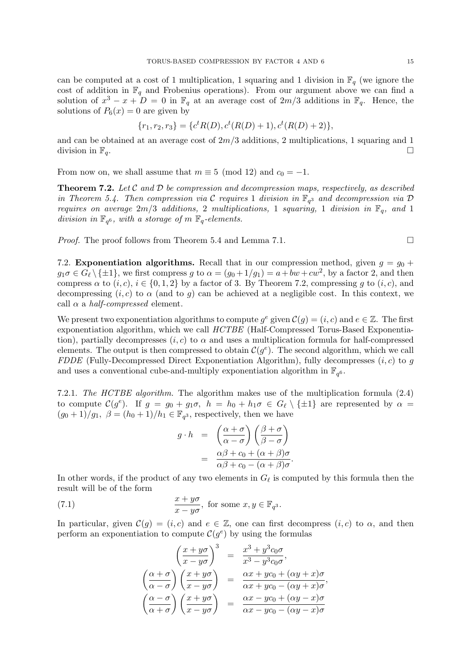can be computed at a cost of 1 multiplication, 1 squaring and 1 division in  $\mathbb{F}_q$  (we ignore the cost of addition in  $\mathbb{F}_q$  and Frobenius operations). From our argument above we can find a solution of  $x^3 - x + D = 0$  in  $\mathbb{F}_q$  at an average cost of  $2m/3$  additions in  $\mathbb{F}_q$ . Hence, the solutions of  $P_6(x) = 0$  are given by

$$
\{r_1, r_2, r_3\} = \{c^t R(D), c^t (R(D) + 1), c^t (R(D) + 2)\},\
$$

and can be obtained at an average cost of  $2m/3$  additions, 2 multiplications, 1 squaring and 1 division in  $\mathbb{F}_q$ .

From now on, we shall assume that  $m \equiv 5 \pmod{12}$  and  $c_0 = -1$ .

**Theorem 7.2.** Let C and D be compression and decompression maps, respectively, as described in Theorem 5.4. Then compression via  $\mathcal C$  requires 1 division in  $\mathbb F_{q^3}$  and decompression via  $\mathcal D$ requires on average  $2m/3$  additions, 2 multiplications, 1 squaring, 1 division in  $\mathbb{F}_q$ , and 1 division in  $\mathbb{F}_{q^6}$ , with a storage of m  $\mathbb{F}_q$ -elements.

*Proof.* The proof follows from Theorem 5.4 and Lemma 7.1.  $\Box$ 

7.2. **Exponentiation algorithms.** Recall that in our compression method, given  $q = q_0 +$  $g_1\sigma \in G_{\ell} \setminus \{\pm 1\}$ , we first compress g to  $\alpha = (g_0 + 1/g_1) = a + bw + cw^2$ , by a factor 2, and then compress  $\alpha$  to  $(i, c)$ ,  $i \in \{0, 1, 2\}$  by a factor of 3. By Theorem 7.2, compressing q to  $(i, c)$ , and decompressing  $(i, c)$  to  $\alpha$  (and to g) can be achieved at a negligible cost. In this context, we call  $\alpha$  a *half-compressed* element.

We present two exponentiation algorithms to compute  $g^e$  given  $\mathcal{C}(g) = (i, c)$  and  $e \in \mathbb{Z}$ . The first exponentiation algorithm, which we call HCTBE (Half-Compressed Torus-Based Exponentiation), partially decompresses  $(i, c)$  to  $\alpha$  and uses a multiplication formula for half-compressed elements. The output is then compressed to obtain  $\mathcal{C}(g^e)$ . The second algorithm, which we call FDDE (Fully-Decompressed Direct Exponentiation Algorithm), fully decompresses  $(i, c)$  to g and uses a conventional cube-and-multiply exponentiation algorithm in  $\mathbb{F}_{q^6}$ .

7.2.1. The HCTBE algorithm. The algorithm makes use of the multiplication formula (2.4) to compute  $\mathcal{C}(g^e)$ . If  $g = g_0 + g_1\sigma$ ,  $h = h_0 + h_1\sigma \in G_\ell \setminus \{\pm 1\}$  are represented by  $\alpha =$  $(g_0+1)/g_1$ ,  $\beta = (h_0+1)/h_1 \in \mathbb{F}_{q^3}$ , respectively, then we have

$$
g \cdot h = \left(\frac{\alpha + \sigma}{\alpha - \sigma}\right) \left(\frac{\beta + \sigma}{\beta - \sigma}\right)
$$

$$
= \frac{\alpha\beta + c_0 + (\alpha + \beta)\sigma}{\alpha\beta + c_0 - (\alpha + \beta)\sigma}.
$$

In other words, if the product of any two elements in  $G_{\ell}$  is computed by this formula then the result will be of the form

(7.1) 
$$
\frac{x + y\sigma}{x - y\sigma}, \text{ for some } x, y \in \mathbb{F}_{q^3}.
$$

In particular, given  $\mathcal{C}(g) = (i, c)$  and  $e \in \mathbb{Z}$ , one can first decompress  $(i, c)$  to  $\alpha$ , and then perform an exponentiation to compute  $\mathcal{C}(g^e)$  by using the formulas

$$
\begin{pmatrix}\n\frac{x+y\sigma}{x-y\sigma}\n\end{pmatrix}^3 = \frac{x^3+y^3c_0\sigma}{x^3-y^3c_0\sigma},
$$
\n
$$
\begin{pmatrix}\n\frac{\alpha+\sigma}{\alpha-\sigma}\n\end{pmatrix}\n\begin{pmatrix}\n\frac{x+y\sigma}{x-y\sigma}\n\end{pmatrix} = \frac{\alpha x+yc_0+(\alpha y+x)\sigma}{\alpha x+yc_0-(\alpha y+x)\sigma},
$$
\n
$$
\begin{pmatrix}\n\frac{\alpha-\sigma}{\alpha+\sigma}\n\end{pmatrix}\n\begin{pmatrix}\n\frac{x+y\sigma}{x-y\sigma}\n\end{pmatrix} = \frac{\alpha x-yc_0+(\alpha y-x)\sigma}{\alpha x-yc_0-(\alpha y-x)\sigma}
$$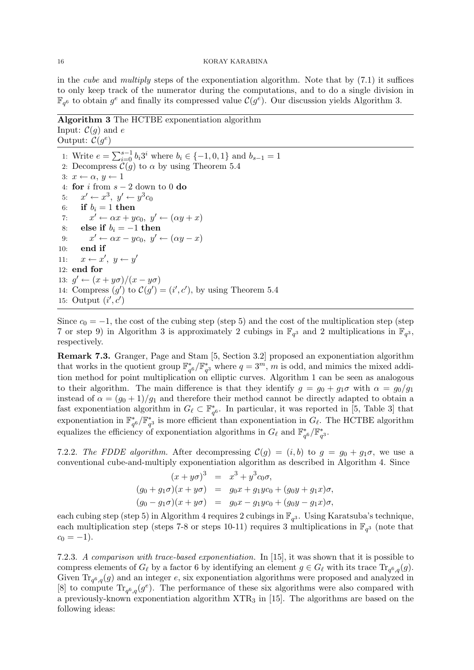in the *cube* and *multiply* steps of the exponentiation algorithm. Note that by  $(7.1)$  it suffices to only keep track of the numerator during the computations, and to do a single division in  $\mathbb{F}_{q^6}$  to obtain  $g^e$  and finally its compressed value  $\mathcal{C}(g^{\overline{e}})$ . Our discussion yields Algorithm 3.

Algorithm 3 The HCTBE exponentiation algorithm Input:  $\mathcal{C}(g)$  and e Output:  $\mathcal{C}(g^e)$ 

1: Write  $e = \sum_{i=0}^{s-1} b_i 3^i$  where  $b_i \in \{-1, 0, 1\}$  and  $b_{s-1} = 1$ 2: Decompress  $\mathcal{C}(g)$  to  $\alpha$  by using Theorem 5.4 3:  $x \leftarrow \alpha, y \leftarrow 1$ 4: for i from  $s - 2$  down to 0 do 5:  $x' \leftarrow x^3, y' \leftarrow y^3 c_0$ 6: if  $b_i = 1$  then 7:  $x' \leftarrow \alpha x + yc_0, \ y' \leftarrow (\alpha y + x)$ 8: else if  $b_i = -1$  then 9:  $x' \leftarrow \alpha x - y c_0, \ y' \leftarrow (\alpha y - x)$ 10: end if 11:  $x \leftarrow x', y \leftarrow y'$ 12: end for 13:  $g' \leftarrow (x + y\sigma)/(x - y\sigma)$ 14: Compress  $(g')$  to  $\mathcal{C}(g') = (i', c')$ , by using Theorem 5.4 15: Output  $(i', c')$ 

Since  $c_0 = -1$ , the cost of the cubing step (step 5) and the cost of the multiplication step (step 7 or step 9) in Algorithm 3 is approximately 2 cubings in  $\mathbb{F}_{q^3}$  and 2 multiplications in  $\mathbb{F}_{q^3}$ , respectively.

Remark 7.3. Granger, Page and Stam [5, Section 3.2] proposed an exponentiation algorithm that works in the quotient group  $\mathbb{F}_{q^6}^* / \mathbb{F}_{q^3}^*$  where  $q = 3^m$ , m is odd, and mimics the mixed addition method for point multiplication on elliptic curves. Algorithm 1 can be seen as analogous to their algorithm. The main difference is that they identify  $g = g_0 + g_1 \sigma$  with  $\alpha = g_0/g_1$ instead of  $\alpha = (g_0 + 1)/g_1$  and therefore their method cannot be directly adapted to obtain a fast exponentiation algorithm in  $G_\ell \subset \mathbb{F}_{q^6}^*$ . In particular, it was reported in [5, Table 3] that exponentiation in  $\mathbb{F}_{q^6}^* / \mathbb{F}_{q^3}^*$  is more efficient than exponentiation in  $G_\ell$ . The HCTBE algorithm equalizes the efficiency of exponentiation algorithms in  $G_{\ell}$  and  $\mathbb{F}_{q^6}^*/\mathbb{F}_{q^3}^*$ .

7.2.2. The FDDE algorithm. After decompressing  $\mathcal{C}(g) = (i, b)$  to  $g = g_0 + g_1\sigma$ , we use a conventional cube-and-multiply exponentiation algorithm as described in Algorithm 4. Since

$$
(x + y\sigma)^3 = x^3 + y^3c_0\sigma,
$$
  
\n
$$
(g_0 + g_1\sigma)(x + y\sigma) = g_0x + g_1yc_0 + (g_0y + g_1x)\sigma,
$$
  
\n
$$
(g_0 - g_1\sigma)(x + y\sigma) = g_0x - g_1yc_0 + (g_0y - g_1x)\sigma,
$$

each cubing step (step 5) in Algorithm 4 requires 2 cubings in  $\mathbb{F}_{q^3}$ . Using Karatsuba's technique, each multiplication step (steps 7-8 or steps 10-11) requires 3 multiplications in  $\mathbb{F}_{q^3}$  (note that  $c_0 = -1$ ).

7.2.3. A comparison with trace-based exponentiation. In [15], it was shown that it is possible to compress elements of  $G_\ell$  by a factor 6 by identifying an element  $g \in G_\ell$  with its trace  $\text{Tr}_{q^6,q}(g)$ . Given  $\text{Tr}_{q^6,q}(g)$  and an integer e, six exponentiation algorithms were proposed and analyzed in [8] to compute  $\text{Tr}_{q^6,q}(g^e)$ . The performance of these six algorithms were also compared with a previously-known exponentiation algorithm XTR<sup>3</sup> in [15]. The algorithms are based on the following ideas: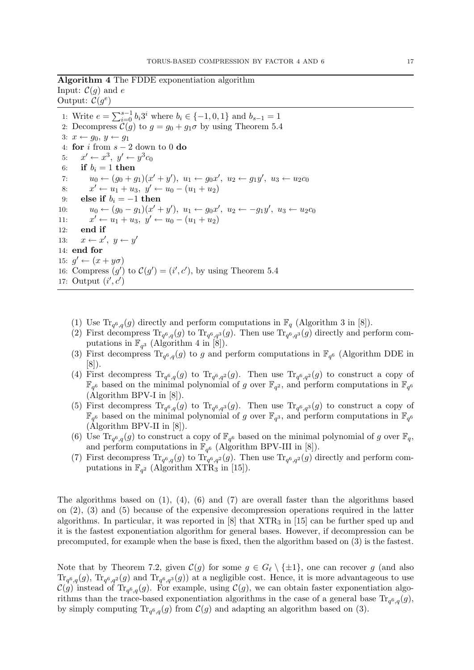Algorithm 4 The FDDE exponentiation algorithm Input:  $\mathcal{C}(g)$  and e

Output:  $\mathcal{C}(g^e)$ 1: Write  $e = \sum_{i=0}^{s-1} b_i 3^i$  where  $b_i \in \{-1, 0, 1\}$  and  $b_{s-1} = 1$ 2: Decompress  $C(g)$  to  $g = g_0 + g_1 \sigma$  by using Theorem 5.4 3:  $x \leftarrow g_0, y \leftarrow g_1$ 4: for i from  $s - 2$  down to 0 do 5:  $x' \leftarrow x^3, y' \leftarrow y^3 c_0$ 6: if  $b_i = 1$  then 7:  $u_0 \leftarrow (g_0 + g_1)(x' + y'), \ u_1 \leftarrow g_0 x', \ u_2 \leftarrow g_1 y', \ u_3 \leftarrow u_2 c_0$ 8:  $x' \leftarrow u_1 + u_3, \ y' \leftarrow u_0 - (u_1 + u_2)$ 9: else if  $b_i = -1$  then 10:  $u_0 \leftarrow (g_0 - g_1)(x' + y'), u_1 \leftarrow g_0 x', u_2 \leftarrow -g_1 y', u_3 \leftarrow u_2 c_0$  $11:$  $x' \leftarrow u_1 + u_3, \ y' \leftarrow u_0 - (u_1 + u_2)$ 12: end if 13:  $x \leftarrow x', y \leftarrow y'$ 14: end for 15:  $g' \leftarrow (x + y\sigma)$ 16: Compress  $(g')$  to  $\mathcal{C}(g') = (i', c')$ , by using Theorem 5.4 17: Output  $(i', c')$ 

- (1) Use  $\text{Tr}_{q^6,q}(g)$  directly and perform computations in  $\mathbb{F}_q$  (Algorithm 3 in [8]).
- (2) First decompress  $\text{Tr}_{q^6,q}(g)$  to  $\text{Tr}_{q^6,q^3}(g)$ . Then use  $\text{Tr}_{q^6,q^3}(g)$  directly and perform computations in  $\mathbb{F}_{q^3}$  (Algorithm 4 in [8]).
- (3) First decompress  $\text{Tr}_{q^6,q}(g)$  to g and perform computations in  $\mathbb{F}_{q^6}$  (Algorithm DDE in [8]).
- (4) First decompress  $\text{Tr}_{q^6,q}(g)$  to  $\text{Tr}_{q^6,q^2}(g)$ . Then use  $\text{Tr}_{q^6,q^2}(g)$  to construct a copy of  $\mathbb{F}_{q^6}$  based on the minimal polynomial of g over  $\mathbb{F}_{q^2}$ , and perform computations in  $\mathbb{F}_{q^6}$ (Algorithm BPV-I in [8]).
- (5) First decompress  $\text{Tr}_{q^6,q}(g)$  to  $\text{Tr}_{q^6,q^3}(g)$ . Then use  $\text{Tr}_{q^6,q^3}(g)$  to construct a copy of  $\mathbb{F}_{q^6}$  based on the minimal polynomial of g over  $\mathbb{F}_{q^3}$ , and perform computations in  $\mathbb{F}_{q^6}$  $(\text{Algorithm BPV-II in }[8]).$
- (6) Use  $\text{Tr}_{q^6,q}(g)$  to construct a copy of  $\mathbb{F}_{q^6}$  based on the minimal polynomial of g over  $\mathbb{F}_q$ , and perform computations in  $\mathbb{F}_{q^6}$  (Algorithm BPV-III in [8]).
- (7) First decompress  $\text{Tr}_{q^6,q}(g)$  to  $\text{Tr}_{q^6,q^2}(g)$ . Then use  $\text{Tr}_{q^6,q^2}(g)$  directly and perform computations in  $\mathbb{F}_{q^2}$  (Algorithm XTR<sub>3</sub> in [15]).

The algorithms based on  $(1)$ ,  $(4)$ ,  $(6)$  and  $(7)$  are overall faster than the algorithms based on (2), (3) and (5) because of the expensive decompression operations required in the latter algorithms. In particular, it was reported in  $[8]$  that  $XTR_3$  in  $[15]$  can be further sped up and it is the fastest exponentiation algorithm for general bases. However, if decompression can be precomputed, for example when the base is fixed, then the algorithm based on (3) is the fastest.

Note that by Theorem 7.2, given  $\mathcal{C}(g)$  for some  $g \in G_{\ell} \setminus \{\pm 1\}$ , one can recover g (and also  $\text{Tr}_{q^6,q}(g)$ ,  $\text{Tr}_{q^6,q^2}(g)$  and  $\text{Tr}_{q^6,q^3}(g)$  at a negligible cost. Hence, it is more advantageous to use  $\mathcal{C}(g)$  instead of  $\text{Tr}_{q^6,q}(g)$ . For example, using  $\mathcal{C}(g)$ , we can obtain faster exponentiation algorithms than the trace-based exponentiation algorithms in the case of a general base  $\text{Tr}_{q^6,q}(g)$ , by simply computing  $\text{Tr}_{q^6,q}(g)$  from  $\mathcal{C}(g)$  and adapting an algorithm based on (3).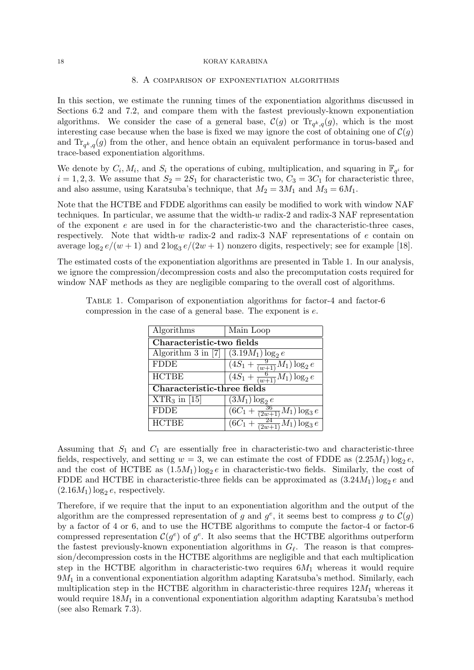## 8. A comparison of exponentiation algorithms

In this section, we estimate the running times of the exponentiation algorithms discussed in Sections 6.2 and 7.2, and compare them with the fastest previously-known exponentiation algorithms. We consider the case of a general base,  $\mathcal{C}(g)$  or  $\text{Tr}_{q^k,q}(g)$ , which is the most interesting case because when the base is fixed we may ignore the cost of obtaining one of  $\mathcal{C}(g)$ and  $\text{Tr}_{q^k,q}(g)$  from the other, and hence obtain an equivalent performance in torus-based and trace-based exponentiation algorithms.

We denote by  $C_i, M_i$ , and  $S_i$  the operations of cubing, multiplication, and squaring in  $\mathbb{F}_{q^i}$  for  $i = 1, 2, 3$ . We assume that  $S_2 = 2S_1$  for characteristic two,  $C_3 = 3C_1$  for characteristic three, and also assume, using Karatsuba's technique, that  $M_2 = 3M_1$  and  $M_3 = 6M_1$ .

Note that the HCTBE and FDDE algorithms can easily be modified to work with window NAF techniques. In particular, we assume that the width- $w$  radix-2 and radix-3 NAF representation of the exponent  $e$  are used in for the characteristic-two and the characteristic-three cases, respectively. Note that width-w radix-2 and radix-3 NAF representations of  $e$  contain on average  $\log_2 e/(w+1)$  and  $2\log_3 e/(2w+1)$  nonzero digits, respectively; see for example [18].

The estimated costs of the exponentiation algorithms are presented in Table 1. In our analysis, we ignore the compression/decompression costs and also the precomputation costs required for window NAF methods as they are negligible comparing to the overall cost of algorithms.

| Algorithms                              | Main Loop                                       |  |
|-----------------------------------------|-------------------------------------------------|--|
| Characteristic-two fields               |                                                 |  |
| Algorithm 3 in [7] $(3.19M_1) \log_2 e$ |                                                 |  |
| <b>FDDE</b>                             | $(4S_1 + \frac{9}{(w+1)}M_1)\log_2 e$           |  |
| <b>HCTBE</b>                            | $(\overline{4S_1+\frac{6}{(w+1)}M_1)\log_2{e}}$ |  |
| Characteristic-three fields             |                                                 |  |
| $\overline{\text{XTR}_3}$ in [15]       | $(3M_1) \log_2 e$                               |  |
| <b>FDDE</b>                             | $(6C_1 + \frac{36}{(2w+1)}M_1)\log_3 e$         |  |
| <b>HCTBE</b>                            | $\overline{(6C_1+\frac{24}{(2w+1)}M_1)}\log_3e$ |  |

Table 1. Comparison of exponentiation algorithms for factor-4 and factor-6 compression in the case of a general base. The exponent is e.

Assuming that  $S_1$  and  $C_1$  are essentially free in characteristic-two and characteristic-three fields, respectively, and setting  $w = 3$ , we can estimate the cost of FDDE as  $(2.25M_1) \log_2 e$ , and the cost of HCTBE as  $(1.5M_1) \log_2 e$  in characteristic-two fields. Similarly, the cost of FDDE and HCTBE in characteristic-three fields can be approximated as  $(3.24M_1) \log_2 e$  and  $(2.16M_1) \log_2 e$ , respectively.

Therefore, if we require that the input to an exponentiation algorithm and the output of the algorithm are the compressed representation of g and  $g^e$ , it seems best to compress g to  $\mathcal{C}(g)$ by a factor of 4 or 6, and to use the HCTBE algorithms to compute the factor-4 or factor-6 compressed representation  $\mathcal{C}(g^e)$  of  $g^e$ . It also seems that the HCTBE algorithms outperform the fastest previously-known exponentiation algorithms in  $G_{\ell}$ . The reason is that compression/decompression costs in the HCTBE algorithms are negligible and that each multiplication step in the HCTBE algorithm in characteristic-two requires  $6M_1$  whereas it would require  $9M_1$  in a conventional exponentiation algorithm adapting Karatsuba's method. Similarly, each multiplication step in the HCTBE algorithm in characteristic-three requires  $12M_1$  whereas it would require  $18M_1$  in a conventional exponentiation algorithm adapting Karatsuba's method (see also Remark 7.3).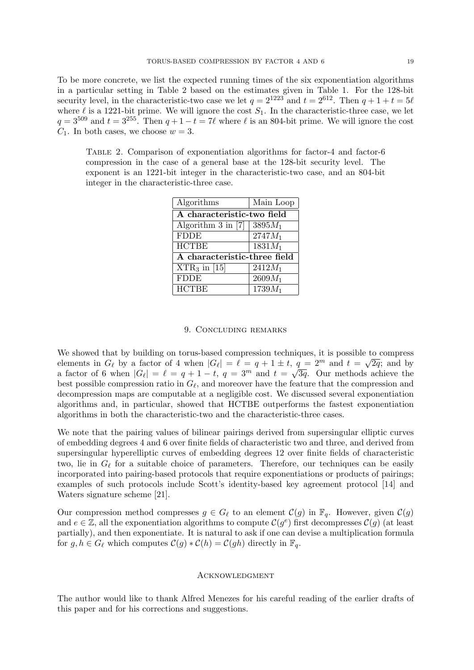To be more concrete, we list the expected running times of the six exponentiation algorithms in a particular setting in Table 2 based on the estimates given in Table 1. For the 128-bit security level, in the characteristic-two case we let  $q = 2^{1223}$  and  $t = 2^{612}$ . Then  $q + 1 + t = 5\ell$ where  $\ell$  is a 1221-bit prime. We will ignore the cost  $S_1$ . In the characteristic-three case, we let  $q = 3^{509}$  and  $t = 3^{255}$ . Then  $q + 1 - t = 7\ell$  where  $\ell$  is an 804-bit prime. We will ignore the cost  $C_1$ . In both cases, we choose  $w = 3$ .

Table 2. Comparison of exponentiation algorithms for factor-4 and factor-6 compression in the case of a general base at the 128-bit security level. The exponent is an 1221-bit integer in the characteristic-two case, and an 804-bit integer in the characteristic-three case.

| Algorithms                   | Main Loop |  |
|------------------------------|-----------|--|
| A characteristic-two field   |           |  |
| Algorithm $3$ in [7]         | $3895M_1$ |  |
| <b>FDDE</b>                  | $2747M_1$ |  |
| <b>HCTBE</b>                 | $1831M_1$ |  |
| A characteristic-three field |           |  |
| $XTR_3$ in [15]              | $2412M_1$ |  |
| <b>FDDE</b>                  | $2609M_1$ |  |
| <b>HCTBE</b>                 | $1739M_1$ |  |

### 9. Concluding remarks

We showed that by building on torus-based compression techniques, it is possible to compress we showed that by bunding on torus-based compression techniques, it is possible to elements in  $G_{\ell}$  by a factor of 4 when  $|G_{\ell}| = \ell = q + 1 \pm t$ ,  $q = 2^m$  and  $t = \sqrt{ }$  $q = 2^m$  and  $t = \sqrt{2q}$ ; and by a factor of 6 when  $|G_\ell| = \ell = q + 1 - t$ ,  $q = 3^m$  and  $t = \sqrt{3q}$ . Our methods achieve the best possible compression ratio in  $G_{\ell}$ , and moreover have the feature that the compression and decompression maps are computable at a negligible cost. We discussed several exponentiation algorithms and, in particular, showed that HCTBE outperforms the fastest exponentiation algorithms in both the characteristic-two and the characteristic-three cases.

We note that the pairing values of bilinear pairings derived from supersingular elliptic curves of embedding degrees 4 and 6 over finite fields of characteristic two and three, and derived from supersingular hyperelliptic curves of embedding degrees 12 over finite fields of characteristic two, lie in  $G_{\ell}$  for a suitable choice of parameters. Therefore, our techniques can be easily incorporated into pairing-based protocols that require exponentiations or products of pairings; examples of such protocols include Scott's identity-based key agreement protocol [14] and Waters signature scheme [21].

Our compression method compresses  $g \in G_{\ell}$  to an element  $\mathcal{C}(g)$  in  $\mathbb{F}_q$ . However, given  $\mathcal{C}(g)$ and  $e \in \mathbb{Z}$ , all the exponentiation algorithms to compute  $\mathcal{C}(g^e)$  first decompresses  $\mathcal{C}(g)$  (at least partially), and then exponentiate. It is natural to ask if one can devise a multiplication formula for  $g, h \in G_\ell$  which computes  $C(g) * C(h) = C(gh)$  directly in  $\mathbb{F}_q$ .

### **ACKNOWLEDGMENT**

The author would like to thank Alfred Menezes for his careful reading of the earlier drafts of this paper and for his corrections and suggestions.